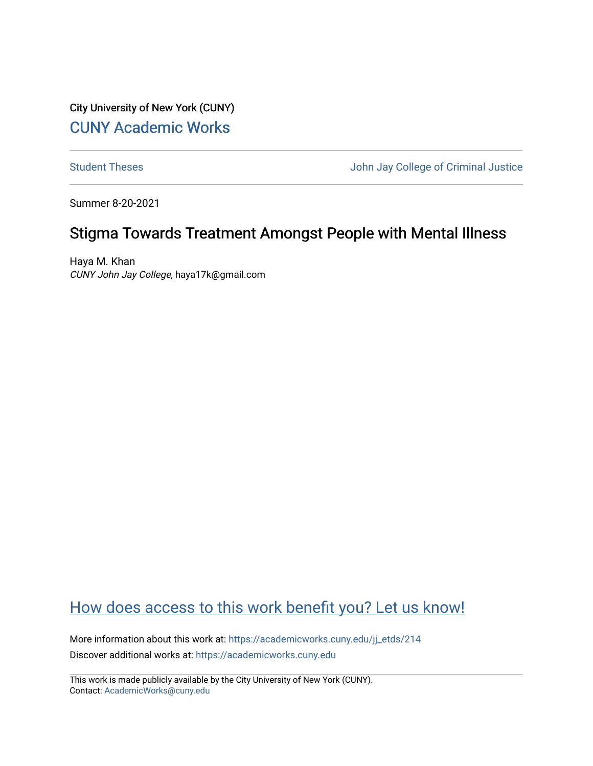City University of New York (CUNY) [CUNY Academic Works](https://academicworks.cuny.edu/) 

[Student Theses](https://academicworks.cuny.edu/jj_etds) **Student Theses** John Jay College of Criminal Justice

Summer 8-20-2021

# Stigma Towards Treatment Amongst People with Mental Illness

Haya M. Khan CUNY John Jay College, haya17k@gmail.com

# [How does access to this work benefit you? Let us know!](http://ols.cuny.edu/academicworks/?ref=https://academicworks.cuny.edu/jj_etds/214)

More information about this work at: [https://academicworks.cuny.edu/jj\\_etds/214](https://academicworks.cuny.edu/jj_etds/214)  Discover additional works at: [https://academicworks.cuny.edu](https://academicworks.cuny.edu/?)

This work is made publicly available by the City University of New York (CUNY). Contact: [AcademicWorks@cuny.edu](mailto:AcademicWorks@cuny.edu)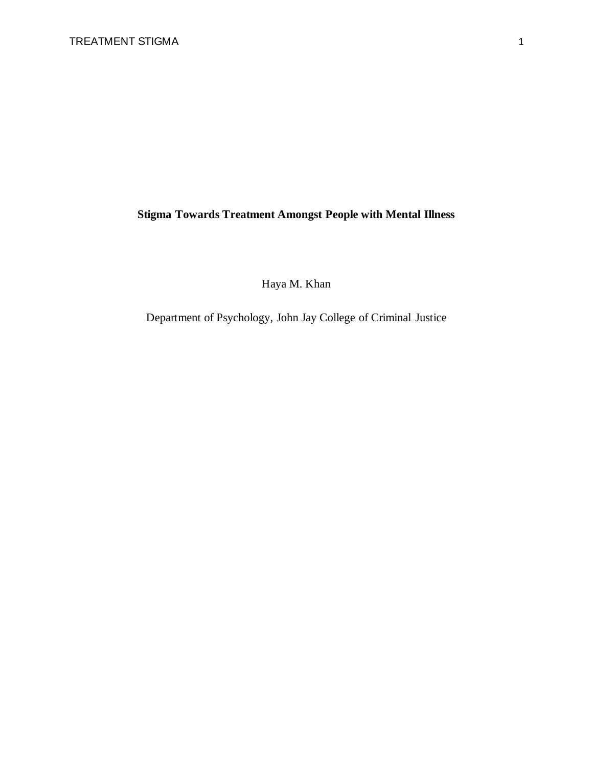## **Stigma Towards Treatment Amongst People with Mental Illness**

Haya M. Khan

Department of Psychology, John Jay College of Criminal Justice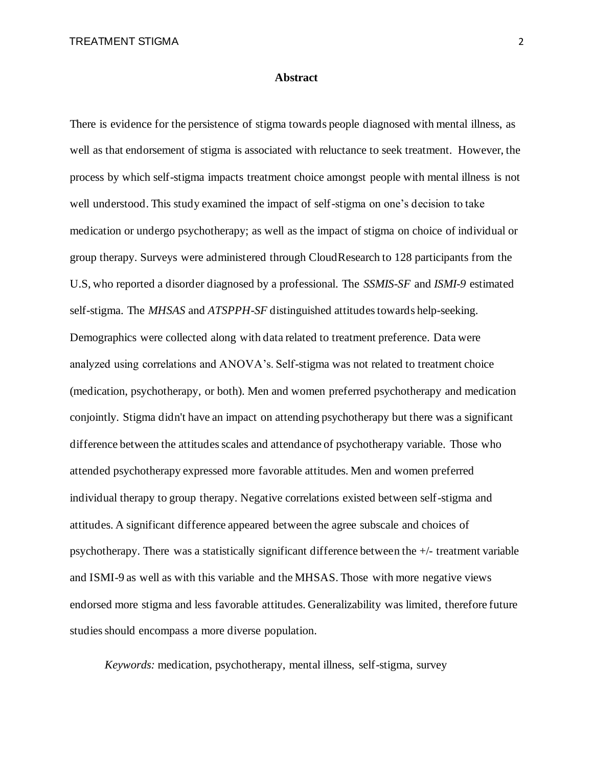#### **Abstract**

There is evidence for the persistence of stigma towards people diagnosed with mental illness, as well as that endorsement of stigma is associated with reluctance to seek treatment. However, the process by which self-stigma impacts treatment choice amongst people with mental illness is not well understood. This study examined the impact of self-stigma on one's decision to take medication or undergo psychotherapy; as well as the impact of stigma on choice of individual or group therapy. Surveys were administered through CloudResearch to 128 participants from the U.S, who reported a disorder diagnosed by a professional. The *SSMIS-SF* and *ISMI-9* estimated self-stigma. The *MHSAS* and *ATSPPH-SF* distinguished attitudes towards help-seeking. Demographics were collected along with data related to treatment preference. Data were analyzed using correlations and ANOVA's. Self-stigma was not related to treatment choice (medication, psychotherapy, or both). Men and women preferred psychotherapy and medication conjointly. Stigma didn't have an impact on attending psychotherapy but there was a significant difference between the attitudes scales and attendance of psychotherapy variable. Those who attended psychotherapy expressed more favorable attitudes. Men and women preferred individual therapy to group therapy. Negative correlations existed between self-stigma and attitudes. A significant difference appeared between the agree subscale and choices of psychotherapy. There was a statistically significant difference between the +/- treatment variable and ISMI-9 as well as with this variable and the MHSAS. Those with more negative views endorsed more stigma and less favorable attitudes. Generalizability was limited, therefore future studies should encompass a more diverse population.

*Keywords:* medication, psychotherapy, mental illness, self-stigma, survey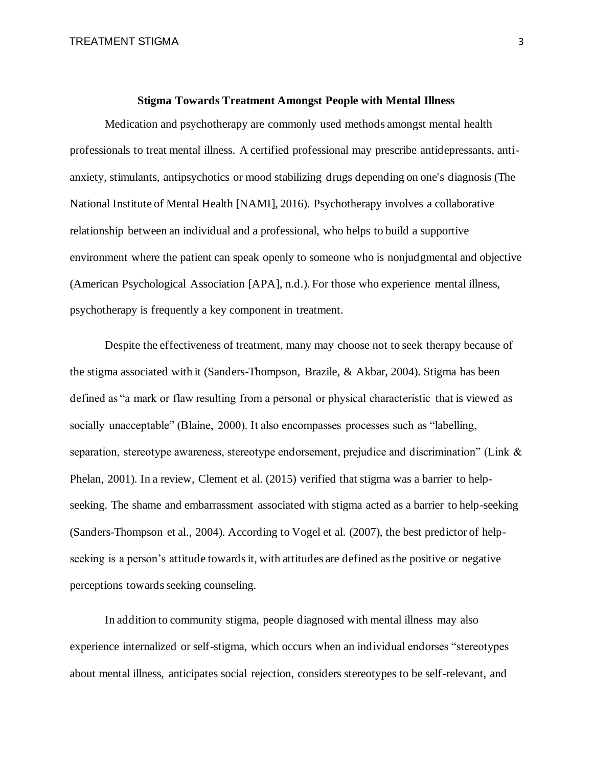#### **Stigma Towards Treatment Amongst People with Mental Illness**

Medication and psychotherapy are commonly used methods amongst mental health professionals to treat mental illness. A certified professional may prescribe antidepressants, antianxiety, stimulants, antipsychotics or mood stabilizing drugs depending on one's diagnosis (The National Institute of Mental Health [NAMI], 2016). Psychotherapy involves a collaborative relationship between an individual and a professional, who helps to build a supportive environment where the patient can speak openly to someone who is nonjudgmental and objective (American Psychological Association [APA], n.d.). For those who experience mental illness, psychotherapy is frequently a key component in treatment.

Despite the effectiveness of treatment, many may choose not to seek therapy because of the stigma associated with it (Sanders-Thompson, Brazile, & Akbar, 2004). Stigma has been defined as "a mark or flaw resulting from a personal or physical characteristic that is viewed as socially unacceptable" (Blaine, 2000). It also encompasses processes such as "labelling, separation, stereotype awareness, stereotype endorsement, prejudice and discrimination" (Link & Phelan, 2001). In a review, Clement et al. (2015) verified that stigma was a barrier to helpseeking. The shame and embarrassment associated with stigma acted as a barrier to help-seeking (Sanders-Thompson et al., 2004). According to Vogel et al. (2007), the best predictor of helpseeking is a person's attitude towards it, with attitudes are defined as the positive or negative perceptions towards seeking counseling.

In addition to community stigma, people diagnosed with mental illness may also experience internalized or self-stigma, which occurs when an individual endorses "stereotypes about mental illness, anticipates social rejection, considers stereotypes to be self-relevant, and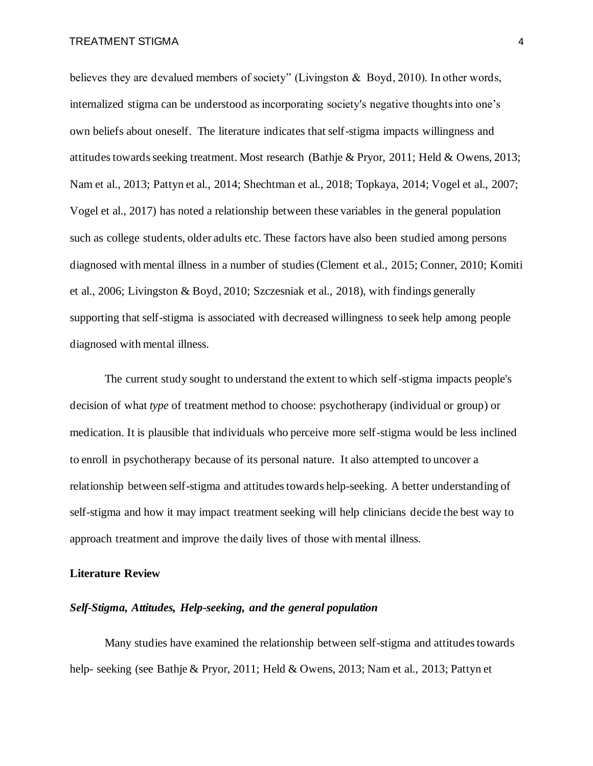believes they are devalued members of society" (Livingston & Boyd, 2010). In other words, internalized stigma can be understood as incorporating society's negative thoughts into one's own beliefs about oneself. The literature indicates that self-stigma impacts willingness and attitudes towards seeking treatment. Most research (Bathje & Pryor, 2011; Held & Owens, 2013; Nam et al., 2013; Pattyn et al., 2014; Shechtman et al., 2018; Topkaya, 2014; Vogel et al., 2007; Vogel et al., 2017) has noted a relationship between these variables in the general population such as college students, older adults etc. These factors have also been studied among persons diagnosed with mental illness in a number of studies (Clement et al., 2015; Conner, 2010; Komiti et al., 2006; Livingston & Boyd, 2010; Szczesniak et al., 2018), with findings generally supporting that self-stigma is associated with decreased willingness to seek help among people diagnosed with mental illness.

The current study sought to understand the extent to which self-stigma impacts people's decision of what *type* of treatment method to choose: psychotherapy (individual or group) or medication. It is plausible that individuals who perceive more self-stigma would be less inclined to enroll in psychotherapy because of its personal nature. It also attempted to uncover a relationship between self-stigma and attitudes towards help-seeking. A better understanding of self-stigma and how it may impact treatment seeking will help clinicians decide the best way to approach treatment and improve the daily lives of those with mental illness.

#### **Literature Review**

#### *Self-Stigma, Attitudes, Help-seeking, and the general population*

Many studies have examined the relationship between self-stigma and attitudes towards help- seeking (see Bathje & Pryor, 2011; Held & Owens, 2013; Nam et al., 2013; Pattyn et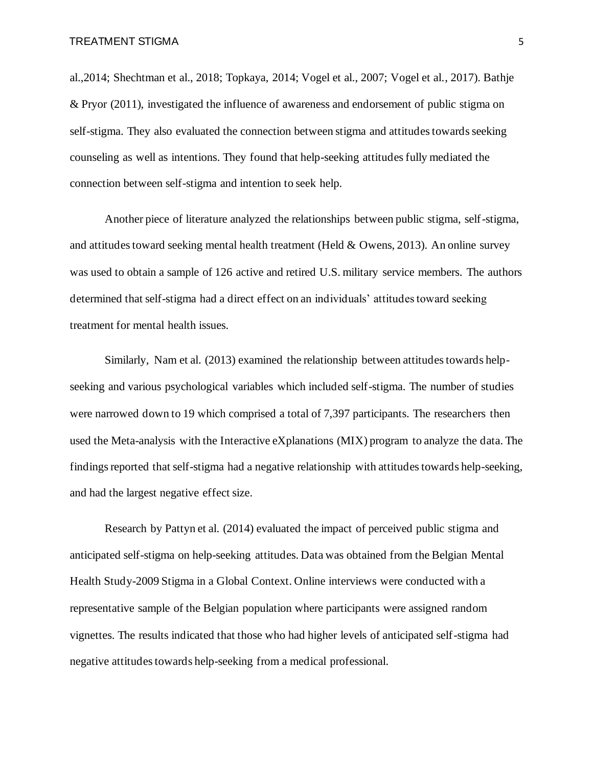al.,2014; Shechtman et al., 2018; Topkaya, 2014; Vogel et al., 2007; Vogel et al., 2017). Bathje & Pryor (2011), investigated the influence of awareness and endorsement of public stigma on self-stigma. They also evaluated the connection between stigma and attitudes towards seeking counseling as well as intentions. They found that help-seeking attitudes fully mediated the connection between self-stigma and intention to seek help.

Another piece of literature analyzed the relationships between public stigma, self-stigma, and attitudes toward seeking mental health treatment (Held & Owens, 2013). An online survey was used to obtain a sample of 126 active and retired U.S. military service members. The authors determined that self-stigma had a direct effect on an individuals' attitudes toward seeking treatment for mental health issues.

Similarly, Nam et al. (2013) examined the relationship between attitudes towards helpseeking and various psychological variables which included self-stigma. The number of studies were narrowed down to 19 which comprised a total of 7,397 participants. The researchers then used the Meta-analysis with the Interactive eXplanations (MIX) program to analyze the data. The findings reported that self-stigma had a negative relationship with attitudes towards help-seeking, and had the largest negative effect size.

Research by Pattyn et al. (2014) evaluated the impact of perceived public stigma and anticipated self-stigma on help-seeking attitudes. Data was obtained from the Belgian Mental Health Study-2009 Stigma in a Global Context. Online interviews were conducted with a representative sample of the Belgian population where participants were assigned random vignettes. The results indicated that those who had higher levels of anticipated self-stigma had negative attitudes towards help-seeking from a medical professional.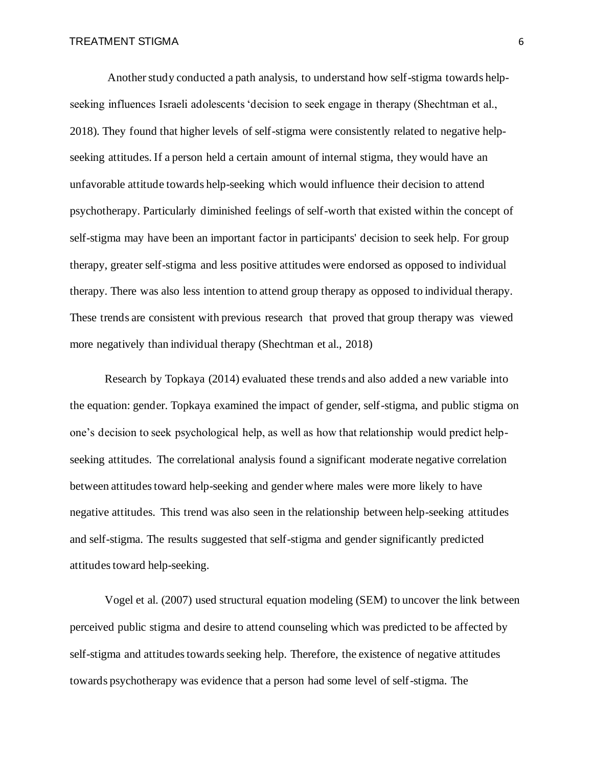Another study conducted a path analysis, to understand how self-stigma towards helpseeking influences Israeli adolescents 'decision to seek engage in therapy (Shechtman et al., 2018). They found that higher levels of self-stigma were consistently related to negative helpseeking attitudes. If a person held a certain amount of internal stigma, they would have an unfavorable attitude towards help-seeking which would influence their decision to attend psychotherapy. Particularly diminished feelings of self-worth that existed within the concept of self-stigma may have been an important factor in participants' decision to seek help. For group therapy, greater self-stigma and less positive attitudes were endorsed as opposed to individual therapy. There was also less intention to attend group therapy as opposed to individual therapy. These trends are consistent with previous research that proved that group therapy was viewed more negatively than individual therapy (Shechtman et al., 2018)

Research by Topkaya (2014) evaluated these trends and also added a new variable into the equation: gender. Topkaya examined the impact of gender, self-stigma, and public stigma on one's decision to seek psychological help, as well as how that relationship would predict helpseeking attitudes. The correlational analysis found a significant moderate negative correlation between attitudes toward help-seeking and gender where males were more likely to have negative attitudes. This trend was also seen in the relationship between help-seeking attitudes and self-stigma. The results suggested that self-stigma and gender significantly predicted attitudes toward help-seeking.

Vogel et al. (2007) used structural equation modeling (SEM) to uncover the link between perceived public stigma and desire to attend counseling which was predicted to be affected by self-stigma and attitudes towards seeking help. Therefore, the existence of negative attitudes towards psychotherapy was evidence that a person had some level of self-stigma. The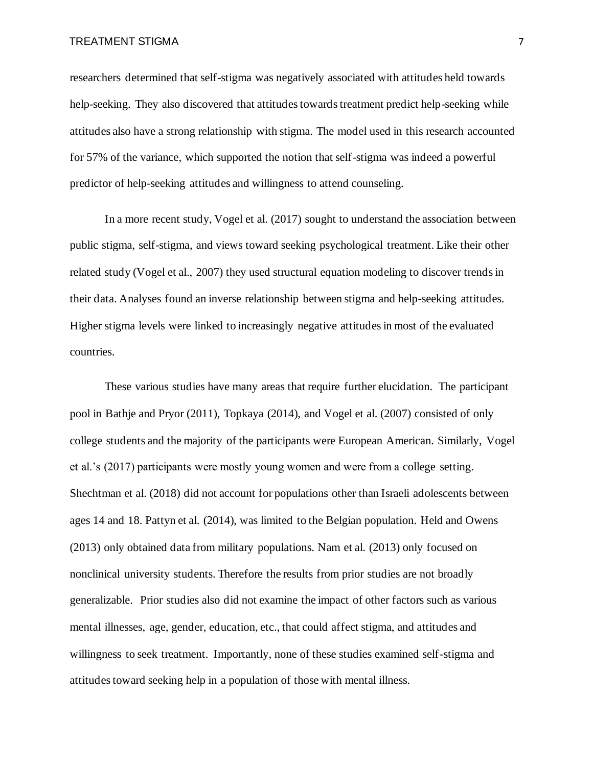researchers determined that self-stigma was negatively associated with attitudes held towards help-seeking. They also discovered that attitudes towards treatment predict help-seeking while attitudes also have a strong relationship with stigma. The model used in this research accounted for 57% of the variance, which supported the notion that self-stigma was indeed a powerful predictor of help-seeking attitudes and willingness to attend counseling.

In a more recent study, Vogel et al. (2017) sought to understand the association between public stigma, self-stigma, and views toward seeking psychological treatment. Like their other related study (Vogel et al., 2007) they used structural equation modeling to discover trends in their data. Analyses found an inverse relationship between stigma and help-seeking attitudes. Higher stigma levels were linked to increasingly negative attitudes in most of the evaluated countries.

These various studies have many areas that require further elucidation. The participant pool in Bathje and Pryor (2011), Topkaya (2014), and Vogel et al. (2007) consisted of only college students and the majority of the participants were European American. Similarly, Vogel et al.'s (2017) participants were mostly young women and were from a college setting. Shechtman et al. (2018) did not account for populations other than Israeli adolescents between ages 14 and 18. Pattyn et al. (2014), was limited to the Belgian population. Held and Owens (2013) only obtained data from military populations. Nam et al. (2013) only focused on nonclinical university students. Therefore the results from prior studies are not broadly generalizable. Prior studies also did not examine the impact of other factors such as various mental illnesses, age, gender, education, etc., that could affect stigma, and attitudes and willingness to seek treatment. Importantly, none of these studies examined self-stigma and attitudes toward seeking help in a population of those with mental illness.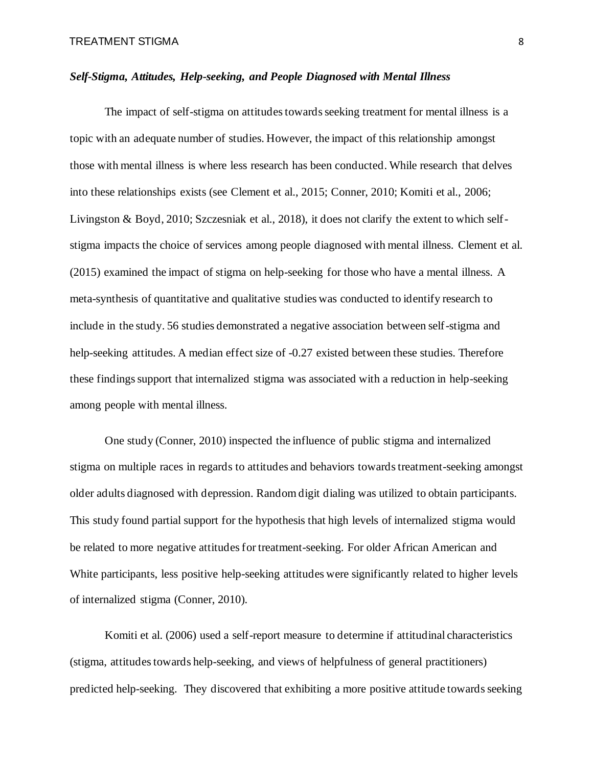#### *Self-Stigma, Attitudes, Help-seeking, and People Diagnosed with Mental Illness*

The impact of self-stigma on attitudes towards seeking treatment for mental illness is a topic with an adequate number of studies. However, the impact of this relationship amongst those with mental illness is where less research has been conducted. While research that delves into these relationships exists (see Clement et al., 2015; Conner, 2010; Komiti et al., 2006; Livingston & Boyd, 2010; Szczesniak et al., 2018), it does not clarify the extent to which selfstigma impacts the choice of services among people diagnosed with mental illness. Clement et al. (2015) examined the impact of stigma on help-seeking for those who have a mental illness. A meta-synthesis of quantitative and qualitative studies was conducted to identify research to include in the study. 56 studies demonstrated a negative association between self-stigma and help-seeking attitudes. A median effect size of -0.27 existed between these studies. Therefore these findings support that internalized stigma was associated with a reduction in help-seeking among people with mental illness.

One study (Conner, 2010) inspected the influence of public stigma and internalized stigma on multiple races in regards to attitudes and behaviors towards treatment-seeking amongst older adults diagnosed with depression. Random digit dialing was utilized to obtain participants. This study found partial support for the hypothesis that high levels of internalized stigma would be related to more negative attitudes for treatment-seeking. For older African American and White participants, less positive help-seeking attitudes were significantly related to higher levels of internalized stigma (Conner, 2010).

Komiti et al. (2006) used a self-report measure to determine if attitudinal characteristics (stigma, attitudes towards help-seeking, and views of helpfulness of general practitioners) predicted help-seeking. They discovered that exhibiting a more positive attitude towards seeking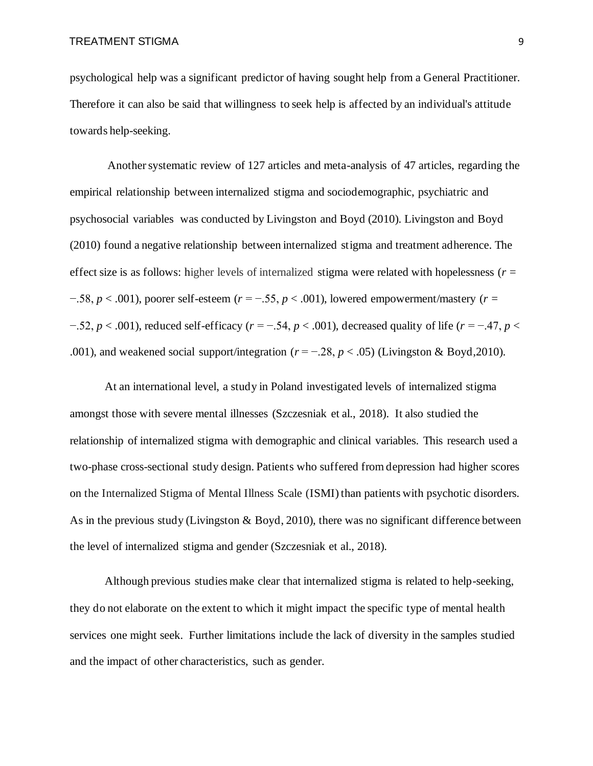psychological help was a significant predictor of having sought help from a General Practitioner. Therefore it can also be said that willingness to seek help is affected by an individual's attitude towards help-seeking.

Another systematic review of 127 articles and meta-analysis of 47 articles, regarding the empirical relationship between internalized stigma and sociodemographic, psychiatric and psychosocial variables was conducted by Livingston and Boyd (2010). Livingston and Boyd (2010) found a negative relationship between internalized stigma and treatment adherence. The effect size is as follows: higher levels of internalized stigma were related with hopelessness ( $r =$ −.58, *p* < .001), poorer self-esteem (*r* = −.55, *p* < .001), lowered empowerment/mastery (*r* = −.52, *p* < .001), reduced self-efficacy (*r* = −.54, *p* < .001), decreased quality of life (*r* = −.47, *p* < .001), and weakened social support/integration ( $r = -0.28$ ,  $p < 0.05$ ) (Livingston & Boyd, 2010).

At an international level, a study in Poland investigated levels of internalized stigma amongst those with severe mental illnesses (Szczesniak et al., 2018). It also studied the relationship of internalized stigma with demographic and clinical variables. This research used a two-phase cross-sectional study design. Patients who suffered from depression had higher scores on the Internalized Stigma of Mental Illness Scale (ISMI) than patients with psychotic disorders. As in the previous study (Livingston & Boyd, 2010), there was no significant difference between the level of internalized stigma and gender (Szczesniak et al., 2018).

Although previous studies make clear that internalized stigma is related to help-seeking, they do not elaborate on the extent to which it might impact the specific type of mental health services one might seek. Further limitations include the lack of diversity in the samples studied and the impact of other characteristics, such as gender.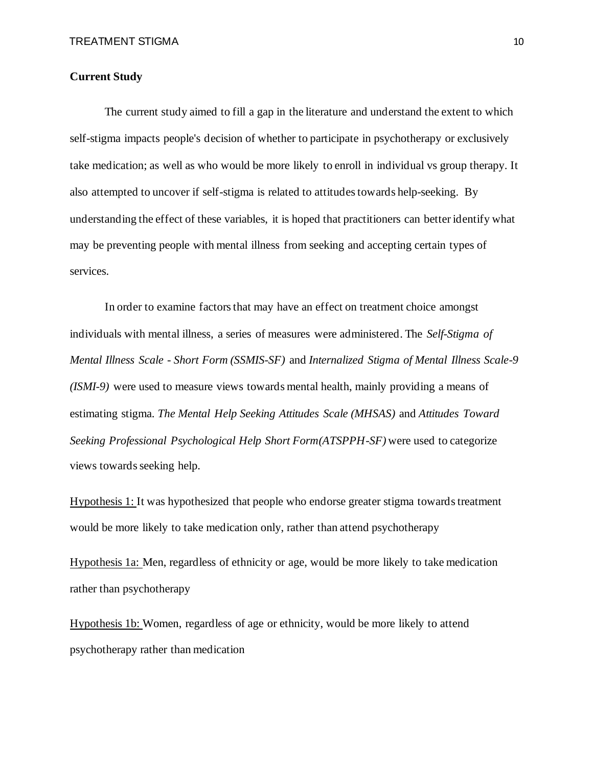#### **Current Study**

The current study aimed to fill a gap in the literature and understand the extent to which self-stigma impacts people's decision of whether to participate in psychotherapy or exclusively take medication; as well as who would be more likely to enroll in individual vs group therapy. It also attempted to uncover if self-stigma is related to attitudes towards help-seeking. By understanding the effect of these variables, it is hoped that practitioners can better identify what may be preventing people with mental illness from seeking and accepting certain types of services.

In order to examine factors that may have an effect on treatment choice amongst individuals with mental illness, a series of measures were administered. The *Self-Stigma of Mental Illness Scale - Short Form (SSMIS-SF)* and *Internalized Stigma of Mental Illness Scale-9 (ISMI-9)* were used to measure views towards mental health, mainly providing a means of estimating stigma. *The Mental Help Seeking Attitudes Scale (MHSAS)* and *Attitudes Toward Seeking Professional Psychological Help Short Form(ATSPPH-SF)* were used to categorize views towards seeking help.

Hypothesis 1: It was hypothesized that people who endorse greater stigma towards treatment would be more likely to take medication only, rather than attend psychotherapy

Hypothesis 1a: Men, regardless of ethnicity or age, would be more likely to take medication rather than psychotherapy

Hypothesis 1b: Women, regardless of age or ethnicity, would be more likely to attend psychotherapy rather than medication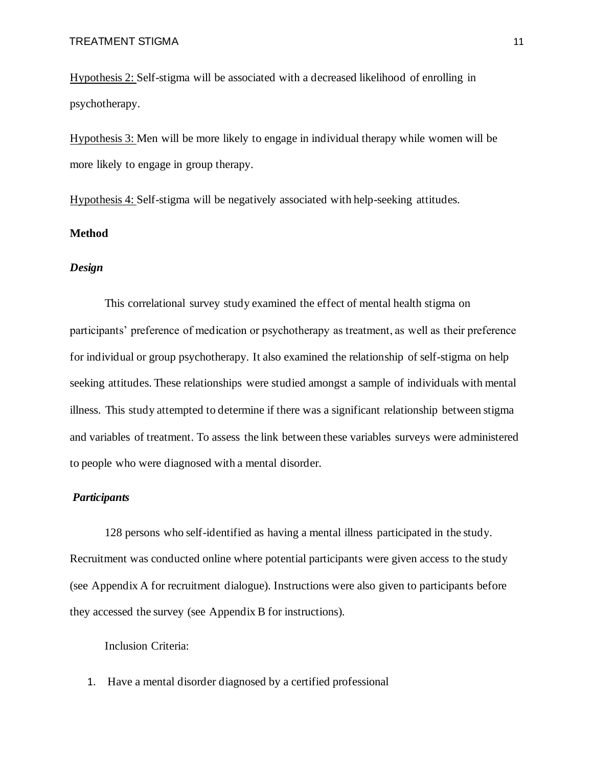Hypothesis 2: Self-stigma will be associated with a decreased likelihood of enrolling in psychotherapy.

Hypothesis 3: Men will be more likely to engage in individual therapy while women will be more likely to engage in group therapy.

Hypothesis 4: Self-stigma will be negatively associated with help-seeking attitudes.

#### **Method**

#### *Design*

This correlational survey study examined the effect of mental health stigma on participants' preference of medication or psychotherapy as treatment, as well as their preference for individual or group psychotherapy. It also examined the relationship of self-stigma on help seeking attitudes. These relationships were studied amongst a sample of individuals with mental illness. This study attempted to determine if there was a significant relationship between stigma and variables of treatment. To assess the link between these variables surveys were administered to people who were diagnosed with a mental disorder.

#### *Participants*

128 persons who self-identified as having a mental illness participated in the study. Recruitment was conducted online where potential participants were given access to the study (see Appendix A for recruitment dialogue). Instructions were also given to participants before they accessed the survey (see Appendix B for instructions).

Inclusion Criteria:

1. Have a mental disorder diagnosed by a certified professional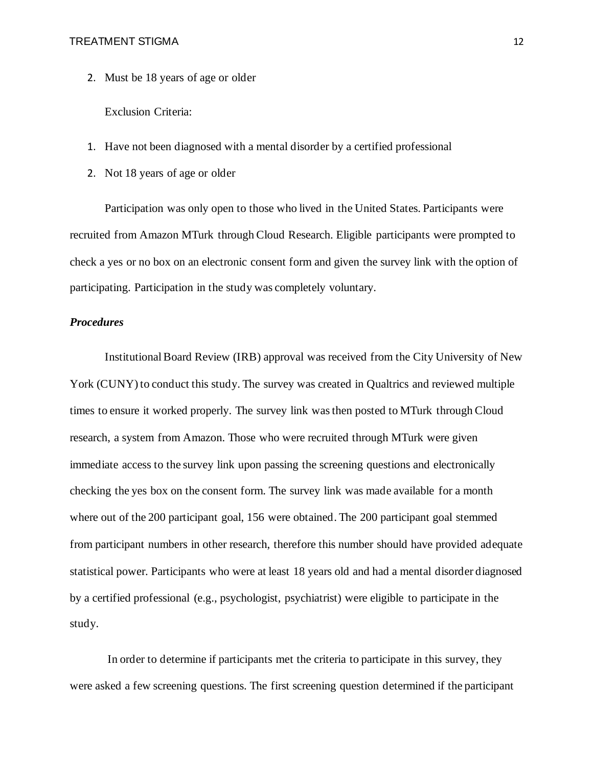2. Must be 18 years of age or older

Exclusion Criteria:

- 1. Have not been diagnosed with a mental disorder by a certified professional
- 2. Not 18 years of age or older

Participation was only open to those who lived in the United States. Participants were recruited from Amazon MTurk through Cloud Research. Eligible participants were prompted to check a yes or no box on an electronic consent form and given the survey link with the option of participating. Participation in the study was completely voluntary.

#### *Procedures*

Institutional Board Review (IRB) approval was received from the City University of New York (CUNY) to conduct this study. The survey was created in Qualtrics and reviewed multiple times to ensure it worked properly. The survey link was then posted to MTurk through Cloud research, a system from Amazon. Those who were recruited through MTurk were given immediate access to the survey link upon passing the screening questions and electronically checking the yes box on the consent form. The survey link was made available for a month where out of the 200 participant goal, 156 were obtained. The 200 participant goal stemmed from participant numbers in other research, therefore this number should have provided adequate statistical power. Participants who were at least 18 years old and had a mental disorder diagnosed by a certified professional (e.g., psychologist, psychiatrist) were eligible to participate in the study.

In order to determine if participants met the criteria to participate in this survey, they were asked a few screening questions. The first screening question determined if the participant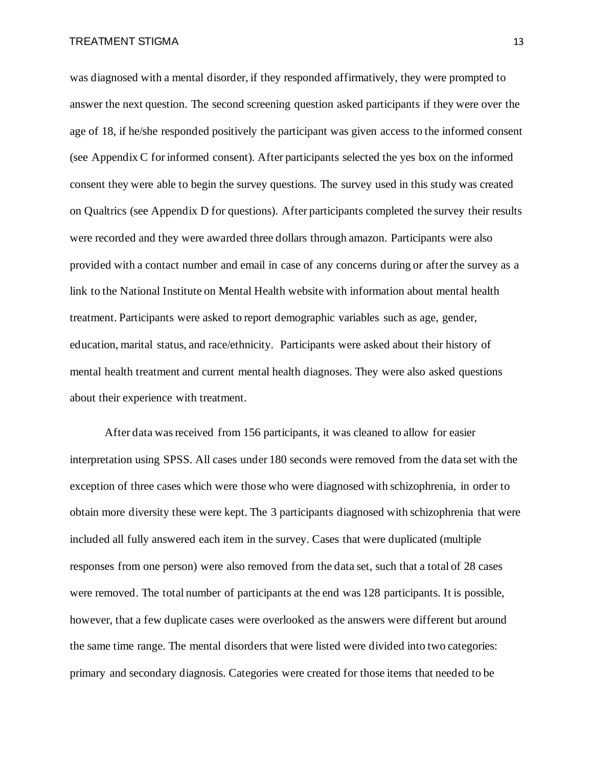was diagnosed with a mental disorder, if they responded affirmatively, they were prompted to answer the next question. The second screening question asked participants if they were over the age of 18, if he/she responded positively the participant was given access to the informed consent (see Appendix C for informed consent). After participants selected the yes box on the informed consent they were able to begin the survey questions. The survey used in this study was created on Qualtrics (see Appendix D for questions). After participants completed the survey their results were recorded and they were awarded three dollars through amazon. Participants were also provided with a contact number and email in case of any concerns during or after the survey as a link to the National Institute on Mental Health website with information about mental health treatment. Participants were asked to report demographic variables such as age, gender, education, marital status, and race/ethnicity. Participants were asked about their history of mental health treatment and current mental health diagnoses. They were also asked questions about their experience with treatment.

After data was received from 156 participants, it was cleaned to allow for easier interpretation using SPSS. All cases under 180 seconds were removed from the data set with the exception of three cases which were those who were diagnosed with schizophrenia, in order to obtain more diversity these were kept. The 3 participants diagnosed with schizophrenia that were included all fully answered each item in the survey. Cases that were duplicated (multiple responses from one person) were also removed from the data set, such that a total of 28 cases were removed. The total number of participants at the end was 128 participants. It is possible, however, that a few duplicate cases were overlooked as the answers were different but around the same time range. The mental disorders that were listed were divided into two categories: primary and secondary diagnosis. Categories were created for those items that needed to be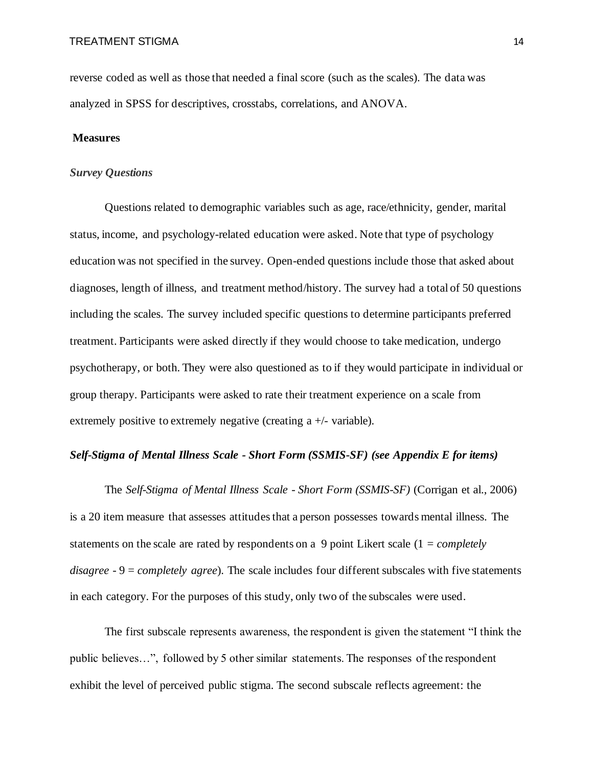reverse coded as well as those that needed a final score (such as the scales). The data was analyzed in SPSS for descriptives, crosstabs, correlations, and ANOVA.

#### **Measures**

#### *Survey Questions*

Questions related to demographic variables such as age, race/ethnicity, gender, marital status, income, and psychology-related education were asked. Note that type of psychology education was not specified in the survey. Open-ended questions include those that asked about diagnoses, length of illness, and treatment method/history. The survey had a total of 50 questions including the scales. The survey included specific questions to determine participants preferred treatment. Participants were asked directly if they would choose to take medication, undergo psychotherapy, or both. They were also questioned as to if they would participate in individual or group therapy. Participants were asked to rate their treatment experience on a scale from extremely positive to extremely negative (creating a +/- variable).

#### *Self-Stigma of Mental Illness Scale - Short Form (SSMIS-SF) (see Appendix E for items)*

The *Self-Stigma of Mental Illness Scale - Short Form (SSMIS-SF)* (Corrigan et al., 2006) is a 20 item measure that assesses attitudes that a person possesses towards mental illness. The statements on the scale are rated by respondents on a 9 point Likert scale (1 = *completely disagree -* 9 = *completely agree*). The scale includes four different subscales with five statements in each category. For the purposes of this study, only two of the subscales were used.

The first subscale represents awareness, the respondent is given the statement "I think the public believes…", followed by 5 other similar statements. The responses of the respondent exhibit the level of perceived public stigma. The second subscale reflects agreement: the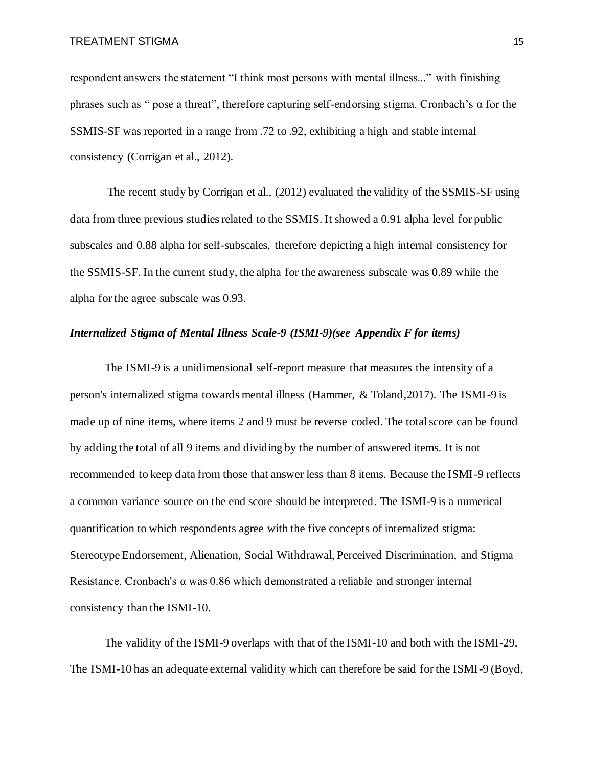respondent answers the statement "I think most persons with mental illness..." with finishing phrases such as " pose a threat", therefore capturing self-endorsing stigma. Cronbach's α for the SSMIS-SF was reported in a range from .72 to .92, exhibiting a high and stable internal consistency (Corrigan et al., 2012).

The recent study by Corrigan et al., (2012) evaluated the validity of the SSMIS-SF using data from three previous studies related to the SSMIS. It showed a 0.91 alpha level for public subscales and 0.88 alpha for self-subscales, therefore depicting a high internal consistency for the SSMIS-SF. In the current study, the alpha for the awareness subscale was 0.89 while the alpha for the agree subscale was 0.93.

#### *Internalized Stigma of Mental Illness Scale-9 (ISMI-9)(see Appendix F for items)*

The ISMI-9 is a unidimensional self-report measure that measures the intensity of a person's internalized stigma towards mental illness (Hammer, & Toland,2017). The ISMI-9 is made up of nine items, where items 2 and 9 must be reverse coded. The total score can be found by adding the total of all 9 items and dividing by the number of answered items. It is not recommended to keep data from those that answer less than 8 items. Because the ISMI-9 reflects a common variance source on the end score should be interpreted. The ISMI-9 is a numerical quantification to which respondents agree with the five concepts of internalized stigma: Stereotype Endorsement, Alienation, Social Withdrawal, Perceived Discrimination, and Stigma Resistance. Cronbach's  $\alpha$  was 0.86 which demonstrated a reliable and stronger internal consistency than the ISMI-10.

The validity of the ISMI-9 overlaps with that of the ISMI-10 and both with the ISMI-29. The ISMI-10 has an adequate external validity which can therefore be said for the ISMI-9 (Boyd,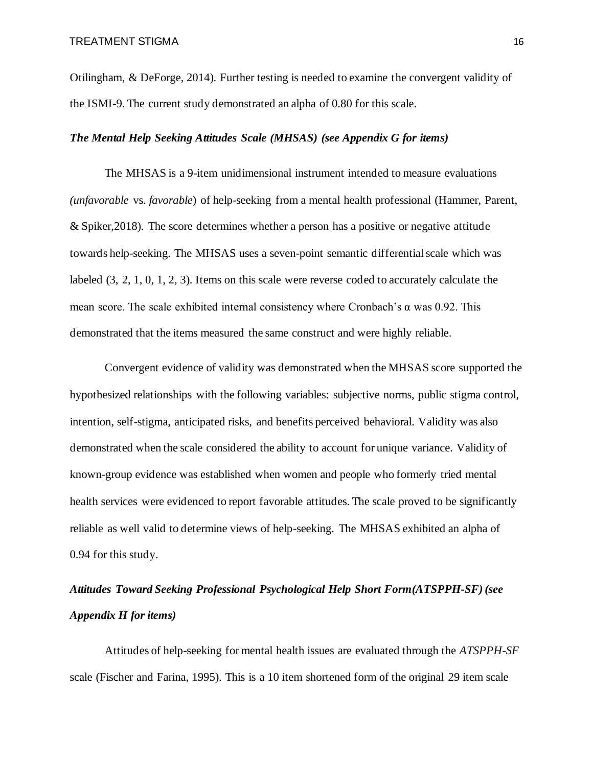Otilingham, & DeForge, 2014). Further testing is needed to examine the convergent validity of the ISMI-9. The current study demonstrated an alpha of 0.80 for this scale.

#### *The Mental Help Seeking Attitudes Scale (MHSAS) (see Appendix G for items)*

The MHSAS is a 9-item unidimensional instrument intended to measure evaluations *(unfavorable* vs. *favorable*) of help-seeking from a mental health professional (Hammer, Parent, & Spiker,2018). The score determines whether a person has a positive or negative attitude towards help-seeking. The MHSAS uses a seven-point semantic differential scale which was labeled (3, 2, 1, 0, 1, 2, 3). Items on this scale were reverse coded to accurately calculate the mean score. The scale exhibited internal consistency where Cronbach's  $\alpha$  was 0.92. This demonstrated that the items measured the same construct and were highly reliable.

Convergent evidence of validity was demonstrated when the MHSAS score supported the hypothesized relationships with the following variables: subjective norms, public stigma control, intention, self-stigma, anticipated risks, and benefits perceived behavioral. Validity was also demonstrated when the scale considered the ability to account for unique variance. Validity of known-group evidence was established when women and people who formerly tried mental health services were evidenced to report favorable attitudes. The scale proved to be significantly reliable as well valid to determine views of help-seeking. The MHSAS exhibited an alpha of 0.94 for this study.

# *Attitudes Toward Seeking Professional Psychological Help Short Form(ATSPPH-SF) (see Appendix H for items)*

Attitudes of help-seeking for mental health issues are evaluated through the *ATSPPH-SF* scale (Fischer and Farina, 1995). This is a 10 item shortened form of the original 29 item scale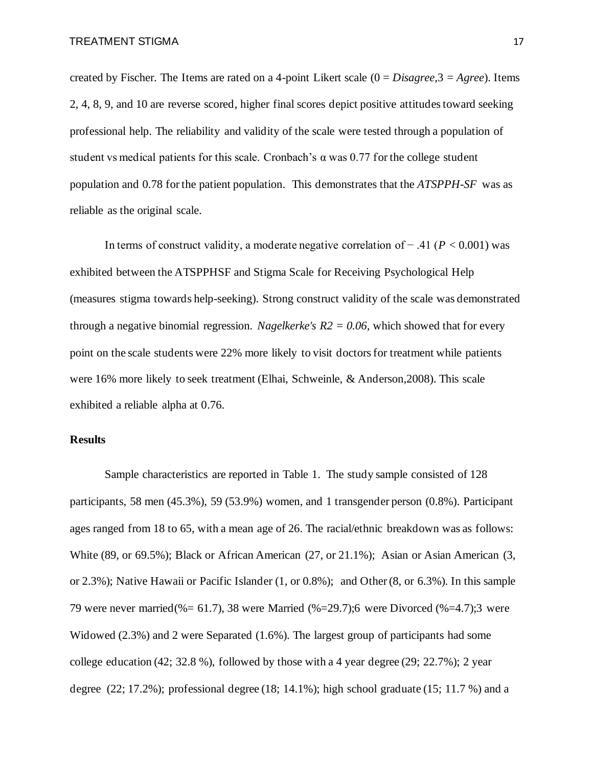created by Fischer. The Items are rated on a 4-point Likert scale (0 = *Disagree,*3 = *Agree*). Items 2, 4, 8, 9, and 10 are reverse scored, higher final scores depict positive attitudes toward seeking professional help. The reliability and validity of the scale were tested through a population of student vs medical patients for this scale. Cronbach's  $\alpha$  was 0.77 for the college student population and 0.78 for the patient population. This demonstrates that the *ATSPPH-SF* was as reliable as the original scale.

In terms of construct validity, a moderate negative correlation of − .41 (*P* < 0.001) was exhibited between the ATSPPHSF and Stigma Scale for Receiving Psychological Help (measures stigma towards help-seeking). Strong construct validity of the scale was demonstrated through a negative binomial regression. *Nagelkerke's R2 = 0.06,* which showed that for every point on the scale students were 22% more likely to visit doctors for treatment while patients were 16% more likely to seek treatment (Elhai, Schweinle, & Anderson,2008). This scale exhibited a reliable alpha at 0.76.

#### **Results**

Sample characteristics are reported in Table 1. The study sample consisted of 128 participants, 58 men (45.3%), 59 (53.9%) women, and 1 transgender person (0.8%). Participant ages ranged from 18 to 65, with a mean age of 26. The racial/ethnic breakdown was as follows: White (89, or 69.5%); Black or African American (27, or 21.1%); Asian or Asian American (3, or 2.3%); Native Hawaii or Pacific Islander (1, or 0.8%); and Other (8, or 6.3%). In this sample 79 were never married(%= 61.7), 38 were Married (%=29.7);6 were Divorced (%=4.7);3 were Widowed (2.3%) and 2 were Separated (1.6%). The largest group of participants had some college education  $(42; 32.8 \%)$ , followed by those with a 4 year degree  $(29; 22.7\%)$ ; 2 year degree  $(22; 17.2\%)$ ; professional degree  $(18; 14.1\%)$ ; high school graduate  $(15; 11.7\%)$  and a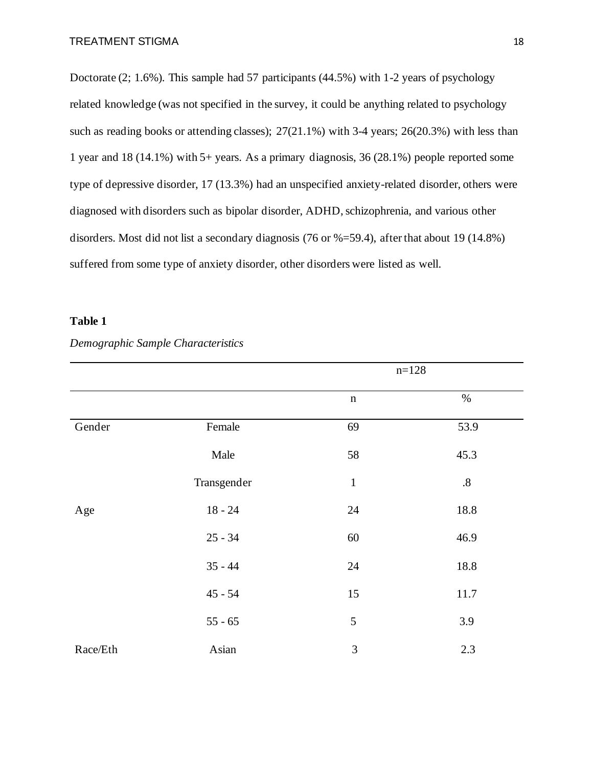Doctorate (2; 1.6%). This sample had 57 participants (44.5%) with 1-2 years of psychology related knowledge (was not specified in the survey, it could be anything related to psychology such as reading books or attending classes); 27(21.1%) with 3-4 years; 26(20.3%) with less than 1 year and 18 (14.1%) with 5+ years. As a primary diagnosis, 36 (28.1%) people reported some type of depressive disorder, 17 (13.3%) had an unspecified anxiety-related disorder, others were diagnosed with disorders such as bipolar disorder, ADHD, schizophrenia, and various other disorders. Most did not list a secondary diagnosis (76 or %=59.4), after that about 19 (14.8%) suffered from some type of anxiety disorder, other disorders were listed as well.

### **Table 1**

|          |             |                | $n=128$ |
|----------|-------------|----------------|---------|
|          |             | $\mathbf n$    | $\%$    |
| Gender   | Female      | 69             | 53.9    |
|          | Male        | 58             | 45.3    |
|          | Transgender | $\mathbf{1}$   | $.8\,$  |
| Age      | $18 - 24$   | 24             | 18.8    |
|          | $25 - 34$   | 60             | 46.9    |
|          | $35 - 44$   | 24             | 18.8    |
|          | $45 - 54$   | 15             | 11.7    |
|          | $55 - 65$   | $\mathfrak{S}$ | 3.9     |
| Race/Eth | Asian       | 3              | 2.3     |

#### *Demographic Sample Characteristics*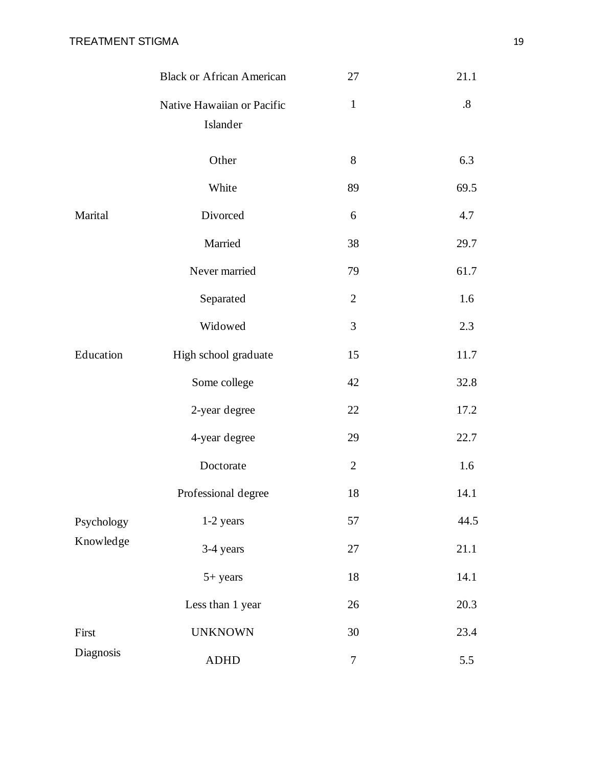|            | <b>Black or African American</b>       | 27             | 21.1 |
|------------|----------------------------------------|----------------|------|
|            | Native Hawaiian or Pacific<br>Islander | $\mathbf{1}$   | .8   |
|            | Other                                  | 8              | 6.3  |
|            | White                                  | 89             | 69.5 |
| Marital    | Divorced                               | 6              | 4.7  |
|            | Married                                | 38             | 29.7 |
|            | Never married                          | 79             | 61.7 |
|            | Separated                              | $\overline{2}$ | 1.6  |
|            | Widowed                                | 3              | 2.3  |
| Education  | High school graduate                   | 15             | 11.7 |
|            | Some college                           | 42             | 32.8 |
|            | 2-year degree                          | 22             | 17.2 |
|            | 4-year degree                          | 29             | 22.7 |
|            | Doctorate                              | $\overline{2}$ | 1.6  |
|            | Professional degree                    | 18             | 14.1 |
| Psychology | 1-2 years                              | 57             | 44.5 |
| Knowledge  | 3-4 years                              | 27             | 21.1 |
|            | 5+ years                               | 18             | 14.1 |
|            | Less than 1 year                       | 26             | 20.3 |
| First      | <b>UNKNOWN</b>                         | 30             | 23.4 |
| Diagnosis  | <b>ADHD</b>                            | $\tau$         | 5.5  |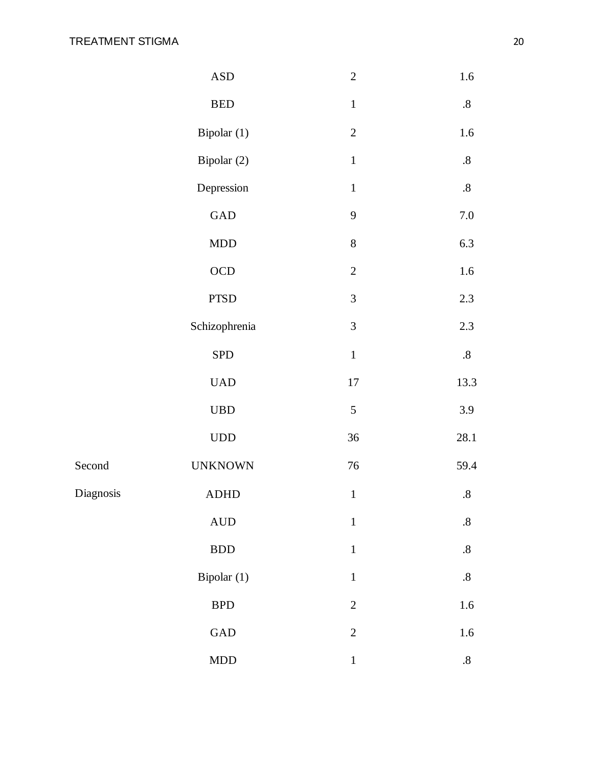|           | $\ensuremath{\mathsf{ASD}}$ | $\overline{2}$ | $1.6\,$           |
|-----------|-----------------------------|----------------|-------------------|
|           | ${\tt BED}$                 | $\mathbf{1}$   | $.8\,$            |
|           | Bipolar (1)                 | $\sqrt{2}$     | 1.6               |
|           | Bipolar (2)                 | $\mathbf 1$    | $\boldsymbol{.8}$ |
|           | Depression                  | $\mathbf 1$    | $.8\,$            |
|           | $\operatorname{GAD}$        | 9              | $7.0\,$           |
|           | $\mathop{\rm MDD}\nolimits$ | $8\,$          | 6.3               |
|           | $\rm OCD$                   | $\sqrt{2}$     | $1.6\,$           |
|           | ${\rm PTSD}$                | $\overline{3}$ | $2.3\,$           |
|           | Schizophrenia               | $\mathfrak{Z}$ | 2.3               |
|           | <b>SPD</b>                  | $\mathbf 1$    | $.8\,$            |
|           | <b>UAD</b>                  | $17\,$         | 13.3              |
|           | $_{\rm UBD}$                | $\mathfrak s$  | 3.9               |
|           | $\ensuremath{\mathrm{UDD}}$ | 36             | 28.1              |
| Second    | <b>UNKNOWN</b>              | $76\,$         | 59.4              |
| Diagnosis | <b>ADHD</b>                 | $\mathbf 1$    | $.8\,$            |
|           | $\mbox{AUD}$                | $\mathbf{1}$   | $.8\,$            |
|           | $\operatorname{BDD}$        | $\mathbf 1$    | $\boldsymbol{.8}$ |
|           | Bipolar (1)                 | $\,1\,$        | $.8\,$            |
|           | BPD                         | $\overline{2}$ | $1.6\,$           |
|           | GAD                         | $\overline{2}$ | $1.6\,$           |
|           | $\mathop{\rm MDD}\nolimits$ | $\,1$          | $\boldsymbol{.8}$ |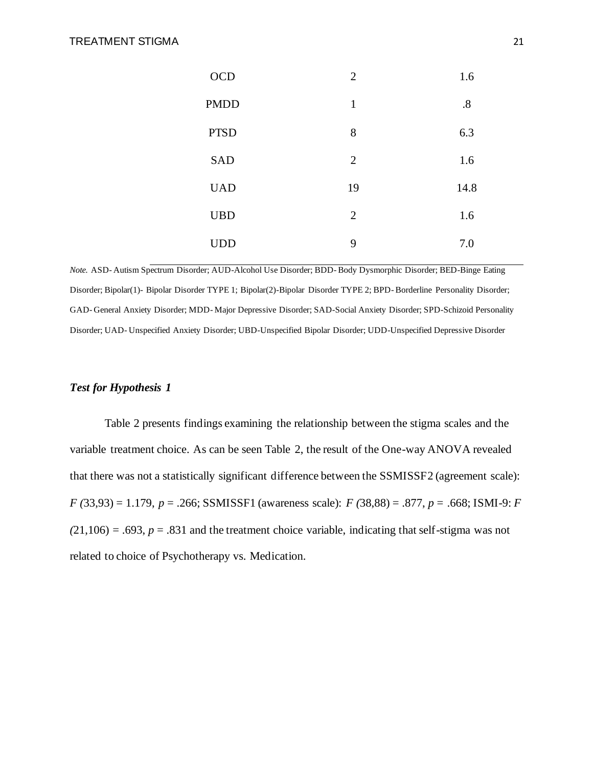| <b>OCD</b>  | $\overline{2}$ | 1.6  |
|-------------|----------------|------|
| <b>PMDD</b> | $\mathbf{1}$   | .8   |
| <b>PTSD</b> | 8              | 6.3  |
| <b>SAD</b>  | $\overline{2}$ | 1.6  |
| <b>UAD</b>  | 19             | 14.8 |
| <b>UBD</b>  | 2              | 1.6  |
| <b>UDD</b>  | 9              | 7.0  |

*Note.* ASD- Autism Spectrum Disorder; AUD-Alcohol Use Disorder; BDD- Body Dysmorphic Disorder; BED-Binge Eating Disorder; Bipolar(1)- Bipolar Disorder TYPE 1; Bipolar(2)-Bipolar Disorder TYPE 2; BPD- Borderline Personality Disorder; GAD- General Anxiety Disorder; MDD- Major Depressive Disorder; SAD-Social Anxiety Disorder; SPD-Schizoid Personality Disorder; UAD- Unspecified Anxiety Disorder; UBD-Unspecified Bipolar Disorder; UDD-Unspecified Depressive Disorder

#### *Test for Hypothesis 1*

Table 2 presents findings examining the relationship between the stigma scales and the variable treatment choice. As can be seen Table 2, the result of the One-way ANOVA revealed that there was not a statistically significant difference between the SSMISSF2 (agreement scale): *F (*33,93) = 1.179, *p* = .266; SSMISSF1 (awareness scale): *F (*38,88) = .877, *p* = .668; ISMI-9: *F*   $(21,106) = .693$ ,  $p = .831$  and the treatment choice variable, indicating that self-stigma was not related to choice of Psychotherapy vs. Medication.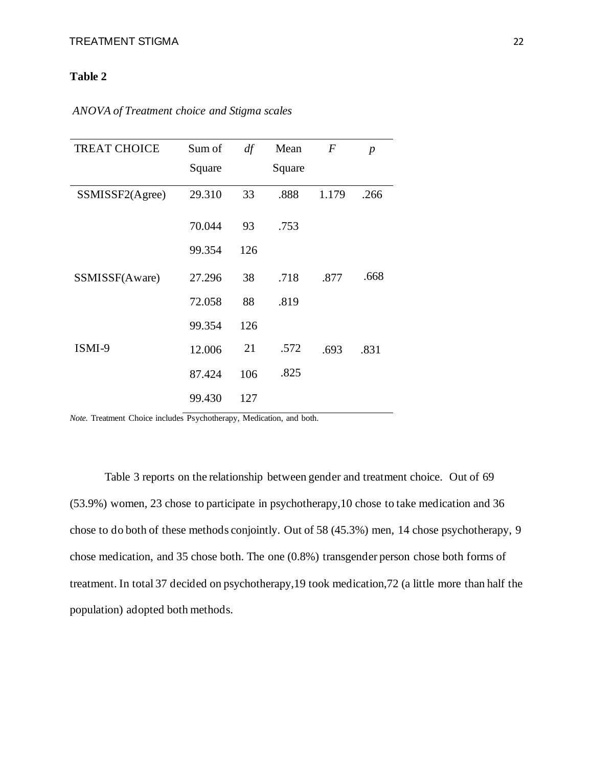## **Table 2**

| <b>TREAT CHOICE</b> | Sum of | df  | Mean   | $\overline{F}$ | $\boldsymbol{p}$ |
|---------------------|--------|-----|--------|----------------|------------------|
|                     | Square |     | Square |                |                  |
| SSMISSF2(Agree)     | 29.310 | 33  | .888   | 1.179          | .266             |
|                     | 70.044 | 93  | .753   |                |                  |
|                     | 99.354 | 126 |        |                |                  |
| SSMISSF(Aware)      | 27.296 | 38  | .718   | .877           | .668             |
|                     | 72.058 | 88  | .819   |                |                  |
|                     | 99.354 | 126 |        |                |                  |
| ISMI-9              | 12.006 | 21  | .572   | .693           | .831             |
|                     | 87.424 | 106 | .825   |                |                  |
|                     | 99.430 | 127 |        |                |                  |

*ANOVA of Treatment choice and Stigma scales* 

*Note.* Treatment Choice includes Psychotherapy, Medication, and both.

Table 3 reports on the relationship between gender and treatment choice. Out of 69 (53.9%) women, 23 chose to participate in psychotherapy,10 chose to take medication and 36 chose to do both of these methods conjointly. Out of 58 (45.3%) men, 14 chose psychotherapy, 9 chose medication, and 35 chose both. The one (0.8%) transgender person chose both forms of treatment. In total 37 decided on psychotherapy,19 took medication,72 (a little more than half the population) adopted both methods.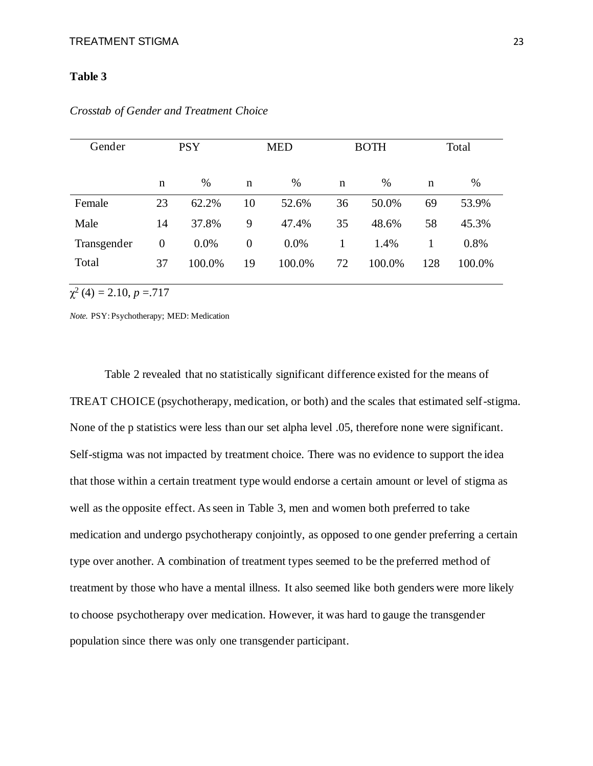#### **Table 3**

| Gender      | <b>PSY</b>     |        | <b>MED</b> |        | <b>BOTH</b> |        | Total |        |
|-------------|----------------|--------|------------|--------|-------------|--------|-------|--------|
|             | n              | %      | n          | %      | $\mathbf n$ | %      | n     | %      |
| Female      | 23             | 62.2%  | 10         | 52.6%  | 36          | 50.0%  | 69    | 53.9%  |
| Male        | 14             | 37.8%  | 9          | 47.4%  | 35          | 48.6%  | 58    | 45.3%  |
| Transgender | $\overline{0}$ | 0.0%   | $\theta$   | 0.0%   | 1           | 1.4%   |       | 0.8%   |
| Total       | 37             | 100.0% | 19         | 100.0% | 72          | 100.0% | 128   | 100.0% |

*Crosstab of Gender and Treatment Choice*

 $\chi^2(4) = 2.10, p = 717$ 

*Note.* PSY: Psychotherapy; MED: Medication

Table 2 revealed that no statistically significant difference existed for the means of TREAT CHOICE (psychotherapy, medication, or both) and the scales that estimated self-stigma. None of the p statistics were less than our set alpha level .05, therefore none were significant. Self-stigma was not impacted by treatment choice. There was no evidence to support the idea that those within a certain treatment type would endorse a certain amount or level of stigma as well as the opposite effect. As seen in Table 3, men and women both preferred to take medication and undergo psychotherapy conjointly, as opposed to one gender preferring a certain type over another. A combination of treatment types seemed to be the preferred method of treatment by those who have a mental illness. It also seemed like both genders were more likely to choose psychotherapy over medication. However, it was hard to gauge the transgender population since there was only one transgender participant.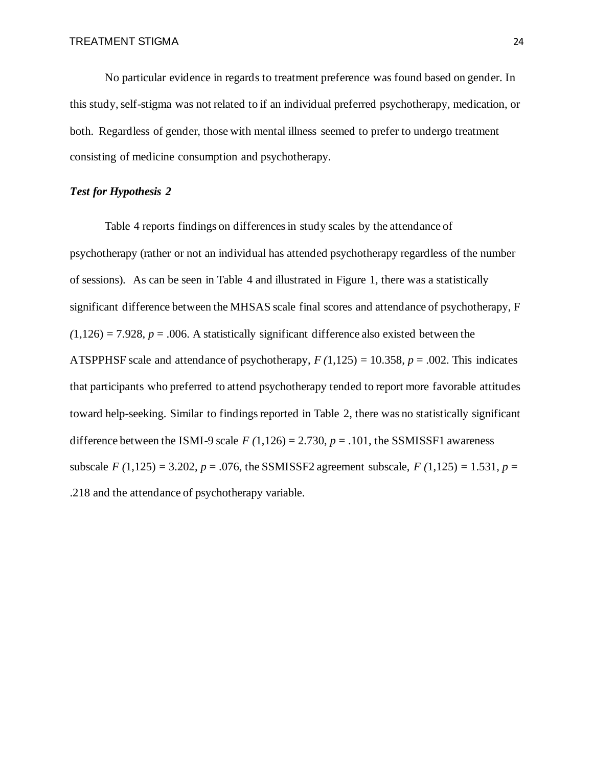No particular evidence in regards to treatment preference was found based on gender. In this study, self-stigma was not related to if an individual preferred psychotherapy, medication, or both. Regardless of gender, those with mental illness seemed to prefer to undergo treatment consisting of medicine consumption and psychotherapy.

#### *Test for Hypothesis 2*

Table 4 reports findings on differences in study scales by the attendance of psychotherapy (rather or not an individual has attended psychotherapy regardless of the number of sessions). As can be seen in Table 4 and illustrated in Figure 1, there was a statistically significant difference between the MHSAS scale final scores and attendance of psychotherapy, F  $(1,126) = 7.928$ ,  $p = .006$ . A statistically significant difference also existed between the ATSPPHSF scale and attendance of psychotherapy,  $F(1,125) = 10.358$ ,  $p = .002$ . This indicates that participants who preferred to attend psychotherapy tended to report more favorable attitudes toward help-seeking. Similar to findings reported in Table 2, there was no statistically significant difference between the ISMI-9 scale  $F(1,126) = 2.730$ ,  $p = .101$ , the SSMISSF1 awareness subscale  $F(1,125) = 3.202$ ,  $p = .076$ , the SSMISSF2 agreement subscale,  $F(1,125) = 1.531$ ,  $p =$ .218 and the attendance of psychotherapy variable.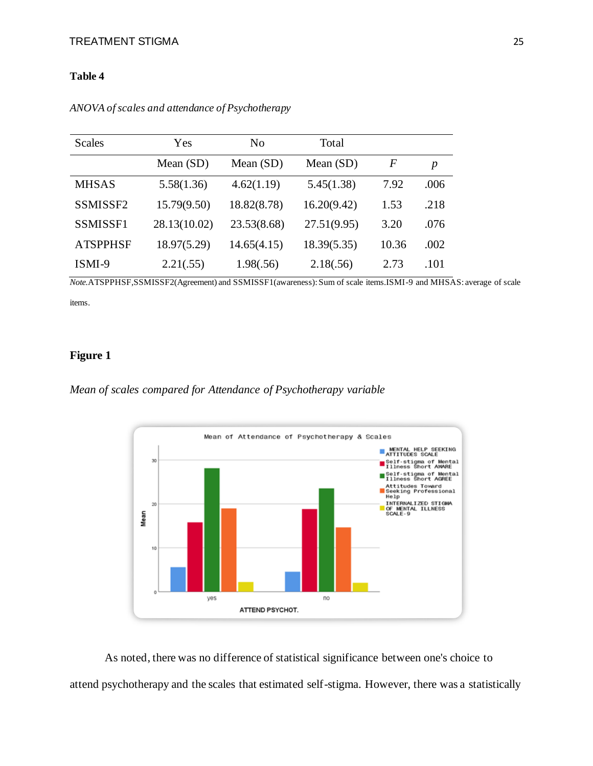#### **Table 4**

| <b>Scales</b>   | Yes          | No          | Total       |                  |                  |
|-----------------|--------------|-------------|-------------|------------------|------------------|
|                 | Mean $(SD)$  | Mean $(SD)$ | Mean $(SD)$ | $\boldsymbol{F}$ | $\boldsymbol{p}$ |
| <b>MHSAS</b>    | 5.58(1.36)   | 4.62(1.19)  | 5.45(1.38)  | 7.92             | .006             |
| SSMISSF2        | 15.79(9.50)  | 18.82(8.78) | 16.20(9.42) | 1.53             | .218             |
| SSMISSF1        | 28.13(10.02) | 23.53(8.68) | 27.51(9.95) | 3.20             | .076             |
| <b>ATSPPHSF</b> | 18.97(5.29)  | 14.65(4.15) | 18.39(5.35) | 10.36            | .002             |
| ISMI-9          | 2.21(.55)    | 1.98(.56)   | 2.18(.56)   | 2.73             | .101             |

*ANOVA of scales and attendance of Psychotherapy*

*Note.*ATSPPHSF,SSMISSF2(Agreement) and SSMISSF1(awareness): Sum of scale items.ISMI-9 and MHSAS: average of scale items.

## **Figure 1**

*Mean of scales compared for Attendance of Psychotherapy variable*



As noted, there was no difference of statistical significance between one's choice to attend psychotherapy and the scales that estimated self-stigma. However, there was a statistically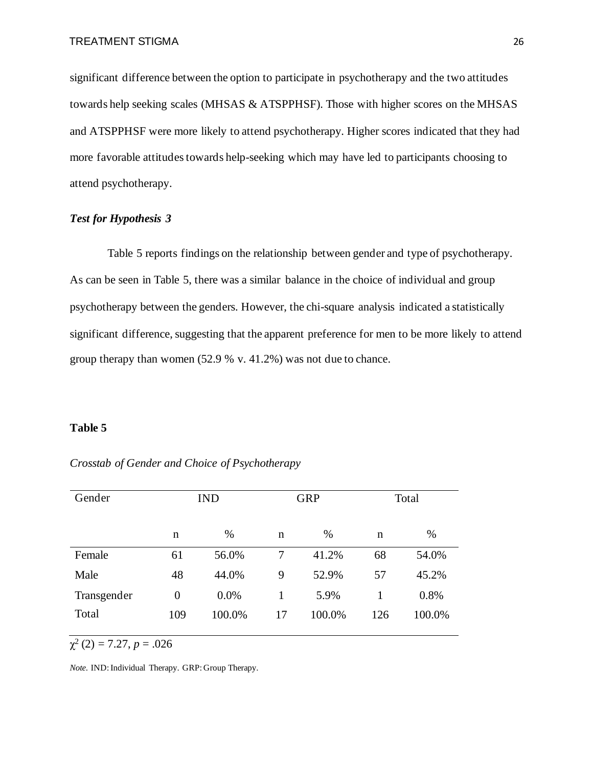significant difference between the option to participate in psychotherapy and the two attitudes towards help seeking scales (MHSAS & ATSPPHSF). Those with higher scores on the MHSAS and ATSPPHSF were more likely to attend psychotherapy. Higher scores indicated that they had more favorable attitudes towards help-seeking which may have led to participants choosing to attend psychotherapy.

#### *Test for Hypothesis 3*

Table 5 reports findings on the relationship between gender and type of psychotherapy. As can be seen in Table 5, there was a similar balance in the choice of individual and group psychotherapy between the genders. However, the chi-square analysis indicated a statistically significant difference, suggesting that the apparent preference for men to be more likely to attend group therapy than women (52.9 % v. 41.2%) was not due to chance.

#### **Table 5**

| Gender      |                | <b>IND</b> | <b>GRP</b> |        | Total |        |
|-------------|----------------|------------|------------|--------|-------|--------|
|             | n              | %          | n          | %      | n     | $\%$   |
| Female      | 61             | 56.0%      | 7          | 41.2%  | 68    | 54.0%  |
| Male        | 48             | 44.0%      | 9          | 52.9%  | 57    | 45.2%  |
| Transgender | $\overline{0}$ | 0.0%       |            | 5.9%   |       | 0.8%   |
| Total       | 109            | 100.0%     | 17         | 100.0% | 126   | 100.0% |

*Crosstab of Gender and Choice of Psychotherapy*

 $\chi^2(2) = 7.27, p = .026$ 

*Note*. IND: Individual Therapy. GRP: Group Therapy.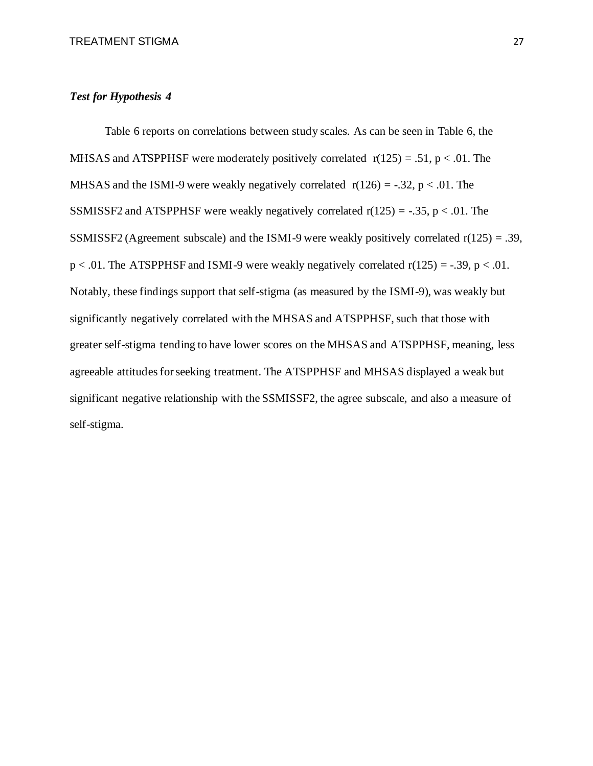#### *Test for Hypothesis 4*

Table 6 reports on correlations between study scales. As can be seen in Table 6, the MHSAS and ATSPPHSF were moderately positively correlated  $r(125) = .51$ ,  $p < .01$ . The MHSAS and the ISMI-9 were weakly negatively correlated  $r(126) = -.32$ ,  $p < .01$ . The SSMISSF2 and ATSPPHSF were weakly negatively correlated  $r(125) = -.35$ ,  $p < .01$ . The SSMISSF2 (Agreement subscale) and the ISMI-9 were weakly positively correlated  $r(125) = .39$ ,  $p < .01$ . The ATSPPHSF and ISMI-9 were weakly negatively correlated  $r(125) = -.39$ ,  $p < .01$ . Notably, these findings support that self-stigma (as measured by the ISMI-9), was weakly but significantly negatively correlated with the MHSAS and ATSPPHSF, such that those with greater self-stigma tending to have lower scores on the MHSAS and ATSPPHSF, meaning, less agreeable attitudes for seeking treatment. The ATSPPHSF and MHSAS displayed a weak but significant negative relationship with the SSMISSF2, the agree subscale, and also a measure of self-stigma.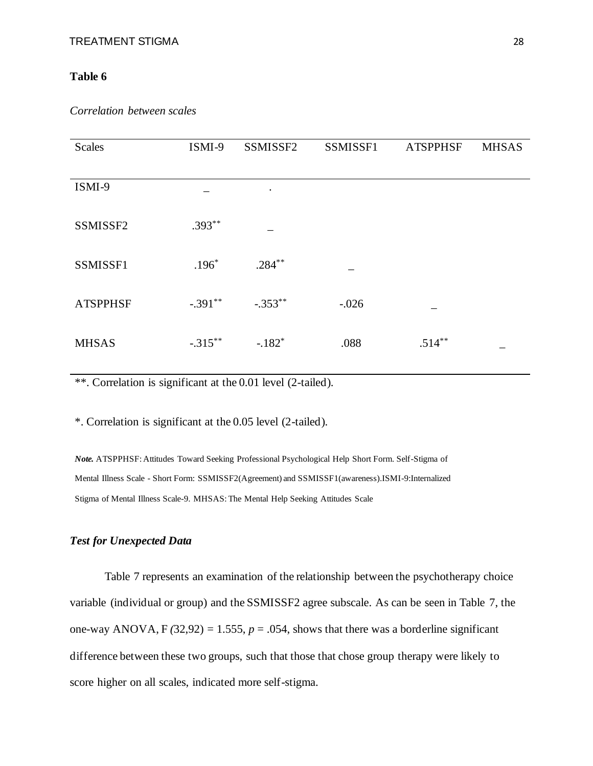#### **Table 6**

| <b>Scales</b>   | ISMI-9     | SSMISSF2  | SSMISSF1 | <b>ATSPPHSF</b> | <b>MHSAS</b> |
|-----------------|------------|-----------|----------|-----------------|--------------|
|                 |            |           |          |                 |              |
| ISMI-9          |            | $\bullet$ |          |                 |              |
|                 |            |           |          |                 |              |
| SSMISSF2        | $.393**$   |           |          |                 |              |
|                 |            |           |          |                 |              |
| SSMISSF1        | $.196*$    | $.284***$ |          |                 |              |
|                 |            |           |          |                 |              |
| <b>ATSPPHSF</b> | $-.391**$  | $-.353**$ | $-.026$  |                 |              |
|                 |            |           |          |                 |              |
| <b>MHSAS</b>    | $-.315***$ | $-.182*$  | .088     | $.514**$        |              |

\*\*. Correlation is significant at the 0.01 level (2-tailed).

\*. Correlation is significant at the 0.05 level (2-tailed).

*Note.* ATSPPHSF: Attitudes Toward Seeking Professional Psychological Help Short Form. Self-Stigma of Mental Illness Scale - Short Form: SSMISSF2(Agreement) and SSMISSF1(awareness).ISMI-9:Internalized Stigma of Mental Illness Scale-9. MHSAS: The Mental Help Seeking Attitudes Scale

### *Test for Unexpected Data*

Table 7 represents an examination of the relationship between the psychotherapy choice variable (individual or group) and the SSMISSF2 agree subscale. As can be seen in Table 7, the one-way ANOVA,  $F(32,92) = 1.555$ ,  $p = .054$ , shows that there was a borderline significant difference between these two groups, such that those that chose group therapy were likely to score higher on all scales, indicated more self-stigma.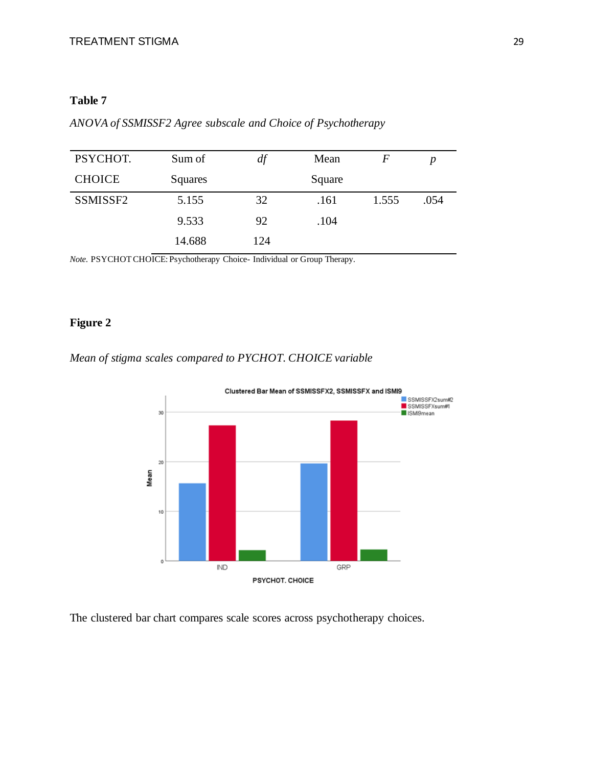## **Table 7**

| PSYCHOT.             | Sum of  | df  | Mean   | F     | p    |
|----------------------|---------|-----|--------|-------|------|
| <b>CHOICE</b>        | Squares |     | Square |       |      |
| SSMISSF <sub>2</sub> | 5.155   | 32  | .161   | 1.555 | .054 |
|                      | 9.533   | 92  | .104   |       |      |
|                      | 14.688  | 124 |        |       |      |

*ANOVA of SSMISSF2 Agree subscale and Choice of Psychotherapy*

*Note*. PSYCHOT CHOICE: Psychotherapy Choice- Individual or Group Therapy.

## **Figure 2**

*Mean of stigma scales compared to PYCHOT. CHOICE variable*



The clustered bar chart compares scale scores across psychotherapy choices.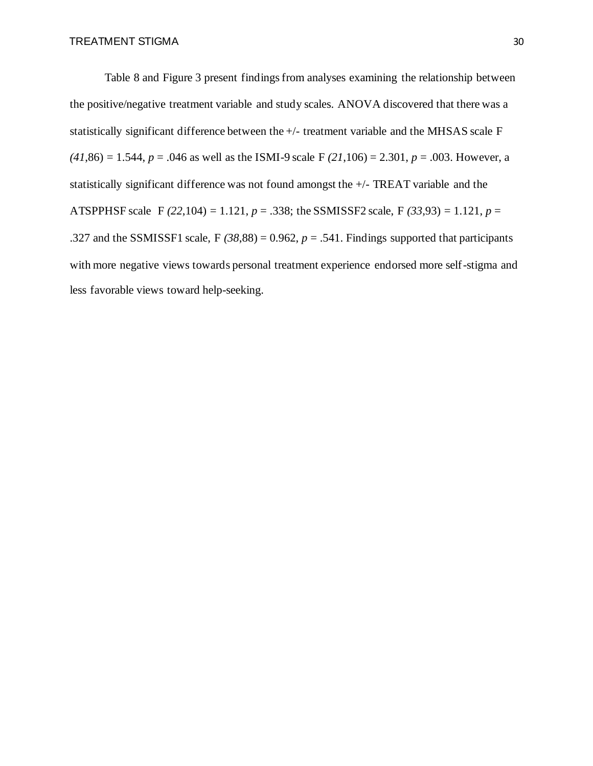Table 8 and Figure 3 present findings from analyses examining the relationship between the positive/negative treatment variable and study scales. ANOVA discovered that there was a statistically significant difference between the +/- treatment variable and the MHSAS scale F  $(41,86) = 1.544$ ,  $p = .046$  as well as the ISMI-9 scale F  $(21,106) = 2.301$ ,  $p = .003$ . However, a statistically significant difference was not found amongst the +/- TREAT variable and the ATSPPHSF scale F *(22*,104) = 1.121, *p* = .338; the SSMISSF2 scale, F *(33*,93) = 1.121, *p* = .327 and the SSMISSF1 scale,  $F(38,88) = 0.962$ ,  $p = .541$ . Findings supported that participants with more negative views towards personal treatment experience endorsed more self-stigma and less favorable views toward help-seeking.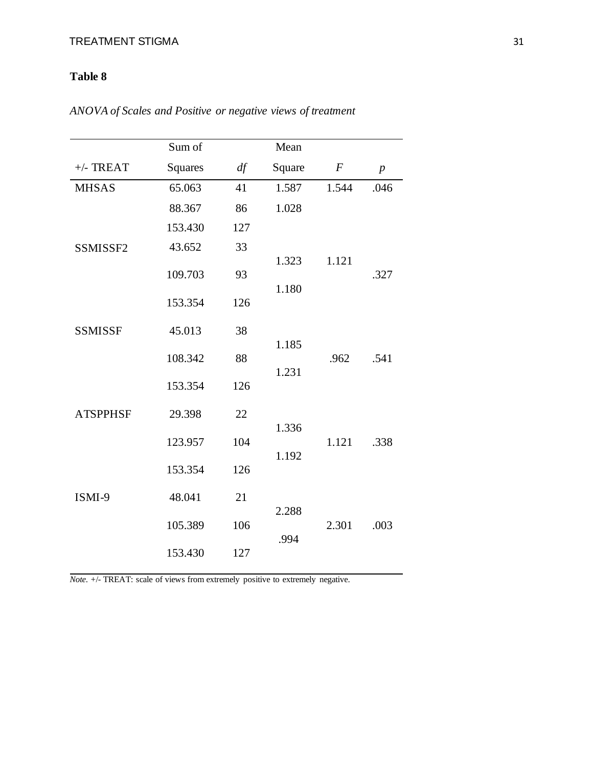## **Table 8**

|                 | Sum of         |     | Mean           |                  |                  |
|-----------------|----------------|-----|----------------|------------------|------------------|
| $+/-$ TREAT     | <b>Squares</b> | df  | Square         | $\boldsymbol{F}$ | $\boldsymbol{p}$ |
| <b>MHSAS</b>    | 65.063         | 41  | 1.587          | 1.544            | .046             |
|                 | 88.367         | 86  | 1.028          |                  |                  |
|                 | 153.430        | 127 |                |                  |                  |
| SSMISSF2        | 43.652         | 33  |                |                  |                  |
|                 | 109.703        | 93  | 1.323          | 1.121            | .327             |
|                 | 153.354        | 126 | 1.180          |                  |                  |
| <b>SSMISSF</b>  | 45.013         | 38  |                |                  |                  |
|                 | 108.342        | 88  | 1.185<br>1.231 | .962             | .541             |
|                 | 153.354        | 126 |                |                  |                  |
| <b>ATSPPHSF</b> | 29.398         | 22  | 1.336          |                  |                  |
|                 | 123.957        | 104 | 1.192          | 1.121            | .338             |
|                 | 153.354        | 126 |                |                  |                  |
| ISMI-9          | 48.041         | 21  | 2.288          |                  |                  |
|                 | 105.389        | 106 | .994           | 2.301            | .003             |
|                 | 153.430        | 127 |                |                  |                  |

*ANOVA of Scales and Positive or negative views of treatment*

*Note.* +/- TREAT: scale of views from extremely positive to extremely negative.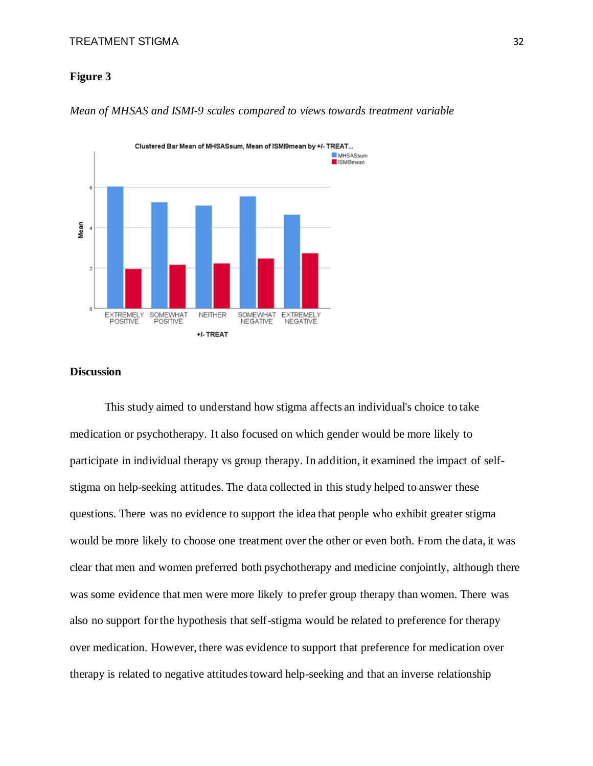#### **Figure 3**



*Mean of MHSAS and ISMI-9 scales compared to views towards treatment variable*

#### **Discussion**

This study aimed to understand how stigma affects an individual's choice to take medication or psychotherapy. It also focused on which gender would be more likely to participate in individual therapy vs group therapy. In addition, it examined the impact of selfstigma on help-seeking attitudes. The data collected in this study helped to answer these questions. There was no evidence to support the idea that people who exhibit greater stigma would be more likely to choose one treatment over the other or even both. From the data, it was clear that men and women preferred both psychotherapy and medicine conjointly, although there was some evidence that men were more likely to prefer group therapy than women. There was also no support for the hypothesis that self-stigma would be related to preference for therapy over medication. However, there was evidence to support that preference for medication over therapy is related to negative attitudes toward help-seeking and that an inverse relationship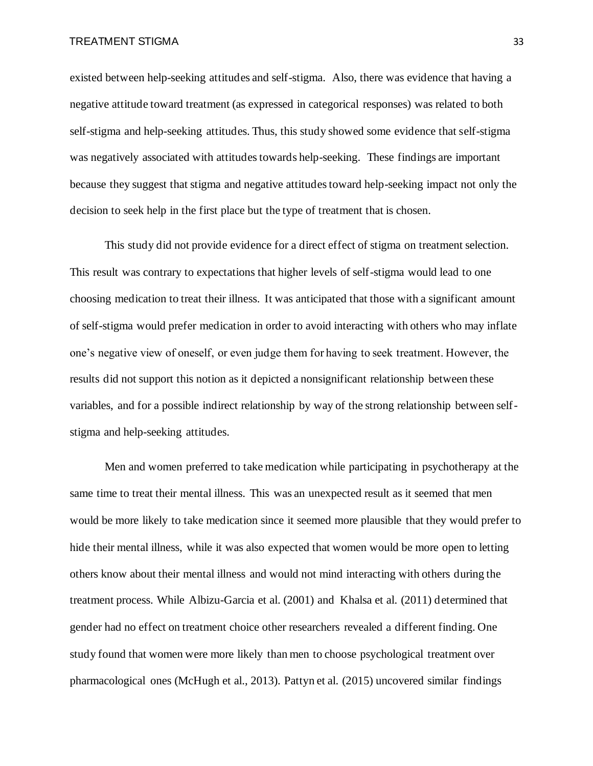existed between help-seeking attitudes and self-stigma. Also, there was evidence that having a negative attitude toward treatment (as expressed in categorical responses) was related to both self-stigma and help-seeking attitudes. Thus, this study showed some evidence that self-stigma was negatively associated with attitudes towards help-seeking. These findings are important because they suggest that stigma and negative attitudes toward help-seeking impact not only the decision to seek help in the first place but the type of treatment that is chosen.

This study did not provide evidence for a direct effect of stigma on treatment selection. This result was contrary to expectations that higher levels of self-stigma would lead to one choosing medication to treat their illness. It was anticipated that those with a significant amount of self-stigma would prefer medication in order to avoid interacting with others who may inflate one's negative view of oneself, or even judge them for having to seek treatment. However, the results did not support this notion as it depicted a nonsignificant relationship between these variables, and for a possible indirect relationship by way of the strong relationship between selfstigma and help-seeking attitudes.

Men and women preferred to take medication while participating in psychotherapy at the same time to treat their mental illness. This was an unexpected result as it seemed that men would be more likely to take medication since it seemed more plausible that they would prefer to hide their mental illness, while it was also expected that women would be more open to letting others know about their mental illness and would not mind interacting with others during the treatment process. While Albizu-Garcia et al. (2001) and Khalsa et al. (2011) determined that gender had no effect on treatment choice other researchers revealed a different finding. One study found that women were more likely than men to choose psychological treatment over pharmacological ones (McHugh et al., 2013). Pattyn et al. (2015) uncovered similar findings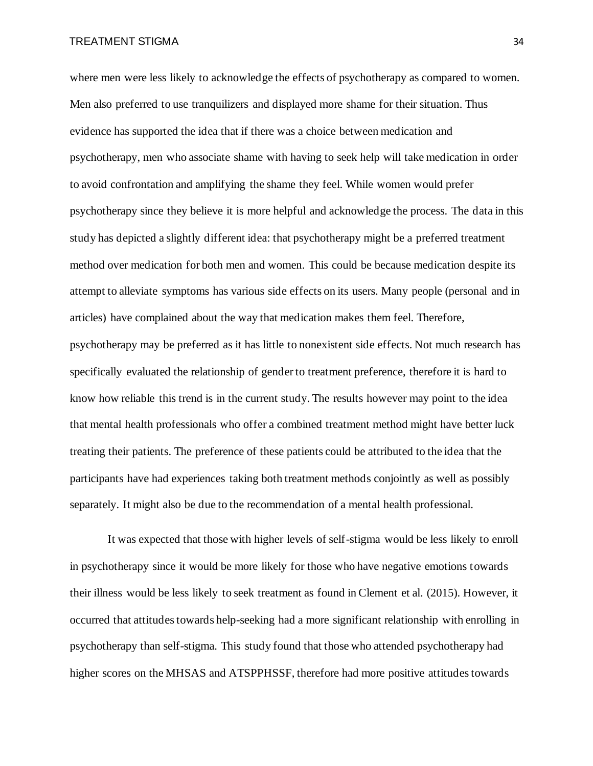where men were less likely to acknowledge the effects of psychotherapy as compared to women. Men also preferred to use tranquilizers and displayed more shame for their situation. Thus evidence has supported the idea that if there was a choice between medication and psychotherapy, men who associate shame with having to seek help will take medication in order to avoid confrontation and amplifying the shame they feel. While women would prefer psychotherapy since they believe it is more helpful and acknowledge the process. The data in this study has depicted a slightly different idea: that psychotherapy might be a preferred treatment method over medication for both men and women. This could be because medication despite its attempt to alleviate symptoms has various side effects on its users. Many people (personal and in articles) have complained about the way that medication makes them feel. Therefore, psychotherapy may be preferred as it has little to nonexistent side effects. Not much research has specifically evaluated the relationship of gender to treatment preference, therefore it is hard to know how reliable this trend is in the current study. The results however may point to the idea that mental health professionals who offer a combined treatment method might have better luck treating their patients. The preference of these patients could be attributed to the idea that the participants have had experiences taking both treatment methods conjointly as well as possibly separately. It might also be due to the recommendation of a mental health professional.

It was expected that those with higher levels of self-stigma would be less likely to enroll in psychotherapy since it would be more likely for those who have negative emotions towards their illness would be less likely to seek treatment as found in Clement et al. (2015). However, it occurred that attitudes towards help-seeking had a more significant relationship with enrolling in psychotherapy than self-stigma. This study found that those who attended psychotherapy had higher scores on the MHSAS and ATSPPHSSF, therefore had more positive attitudes towards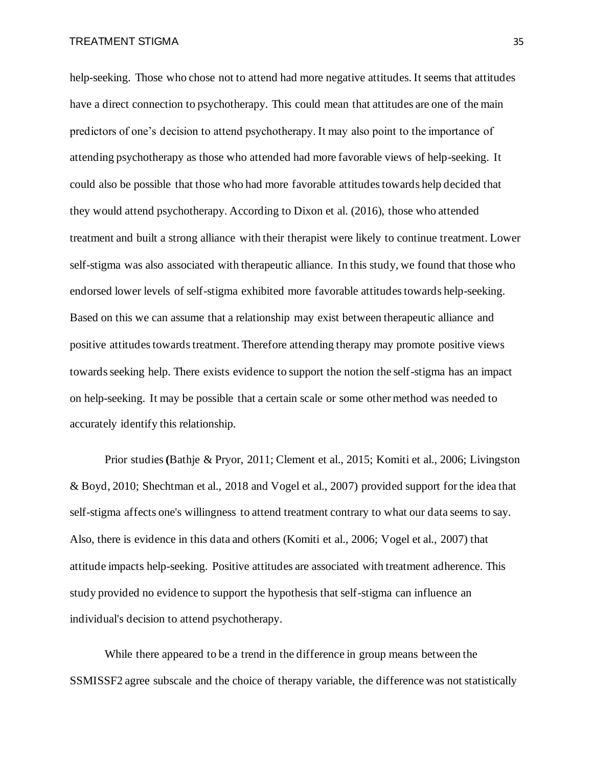help-seeking. Those who chose not to attend had more negative attitudes. It seems that attitudes have a direct connection to psychotherapy. This could mean that attitudes are one of the main predictors of one's decision to attend psychotherapy. It may also point to the importance of attending psychotherapy as those who attended had more favorable views of help-seeking. It could also be possible that those who had more favorable attitudes towards help decided that they would attend psychotherapy. According to Dixon et al. (2016), those who attended treatment and built a strong alliance with their therapist were likely to continue treatment. Lower self-stigma was also associated with therapeutic alliance. In this study, we found that those who endorsed lower levels of self-stigma exhibited more favorable attitudes towards help-seeking. Based on this we can assume that a relationship may exist between therapeutic alliance and positive attitudes towards treatment. Therefore attending therapy may promote positive views towards seeking help. There exists evidence to support the notion the self-stigma has an impact on help-seeking. It may be possible that a certain scale or some other method was needed to accurately identify this relationship.

Prior studies **(**Bathje & Pryor, 2011; Clement et al., 2015; Komiti et al., 2006; Livingston & Boyd, 2010; Shechtman et al., 2018 and Vogel et al., 2007) provided support for the idea that self-stigma affects one's willingness to attend treatment contrary to what our data seems to say. Also, there is evidence in this data and others (Komiti et al., 2006; Vogel et al., 2007) that attitude impacts help-seeking. Positive attitudes are associated with treatment adherence. This study provided no evidence to support the hypothesis that self-stigma can influence an individual's decision to attend psychotherapy.

While there appeared to be a trend in the difference in group means between the SSMISSF2 agree subscale and the choice of therapy variable, the difference was not statistically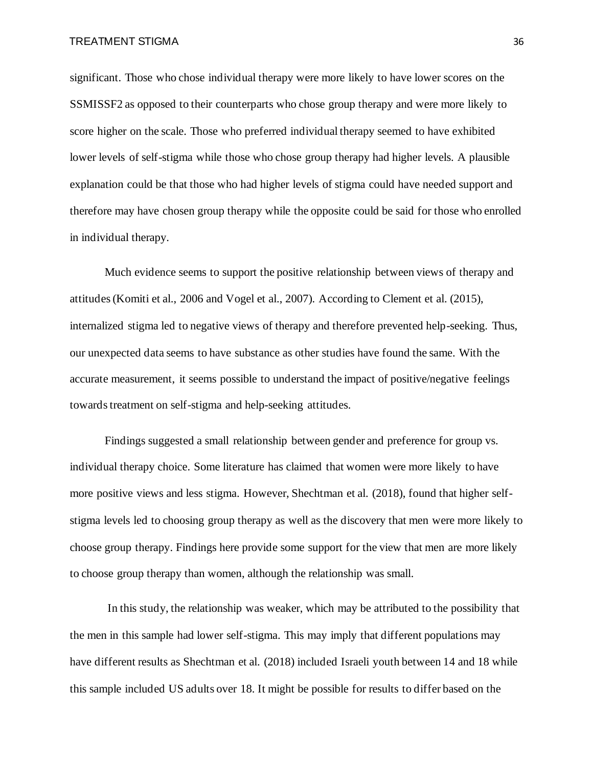significant. Those who chose individual therapy were more likely to have lower scores on the SSMISSF2 as opposed to their counterparts who chose group therapy and were more likely to score higher on the scale. Those who preferred individual therapy seemed to have exhibited lower levels of self-stigma while those who chose group therapy had higher levels. A plausible explanation could be that those who had higher levels of stigma could have needed support and therefore may have chosen group therapy while the opposite could be said for those who enrolled in individual therapy.

Much evidence seems to support the positive relationship between views of therapy and attitudes (Komiti et al., 2006 and Vogel et al., 2007). According to Clement et al. (2015), internalized stigma led to negative views of therapy and therefore prevented help-seeking. Thus, our unexpected data seems to have substance as other studies have found the same. With the accurate measurement, it seems possible to understand the impact of positive/negative feelings towards treatment on self-stigma and help-seeking attitudes.

Findings suggested a small relationship between gender and preference for group vs. individual therapy choice. Some literature has claimed that women were more likely to have more positive views and less stigma. However, Shechtman et al. (2018), found that higher selfstigma levels led to choosing group therapy as well as the discovery that men were more likely to choose group therapy. Findings here provide some support for the view that men are more likely to choose group therapy than women, although the relationship was small.

In this study, the relationship was weaker, which may be attributed to the possibility that the men in this sample had lower self-stigma. This may imply that different populations may have different results as Shechtman et al. (2018) included Israeli youth between 14 and 18 while this sample included US adults over 18. It might be possible for results to differ based on the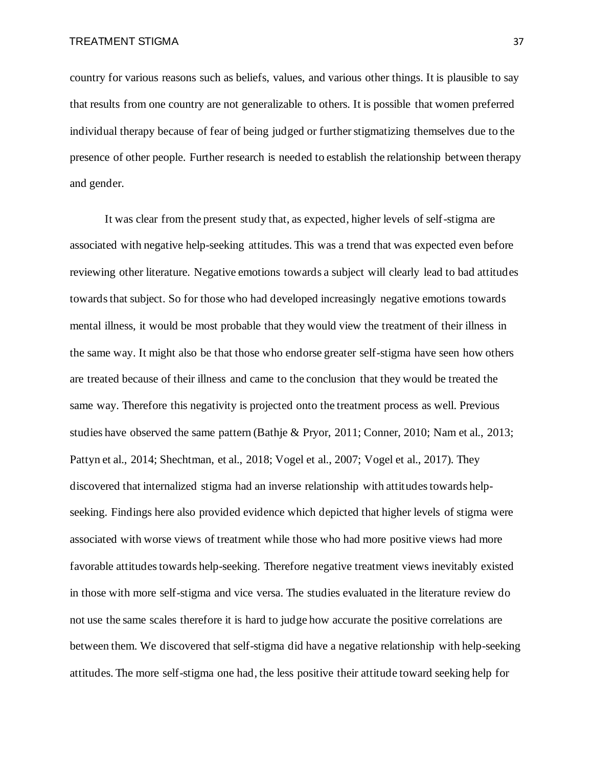country for various reasons such as beliefs, values, and various other things. It is plausible to say that results from one country are not generalizable to others. It is possible that women preferred individual therapy because of fear of being judged or further stigmatizing themselves due to the presence of other people. Further research is needed to establish the relationship between therapy and gender.

It was clear from the present study that, as expected, higher levels of self-stigma are associated with negative help-seeking attitudes. This was a trend that was expected even before reviewing other literature. Negative emotions towards a subject will clearly lead to bad attitudes towards that subject. So for those who had developed increasingly negative emotions towards mental illness, it would be most probable that they would view the treatment of their illness in the same way. It might also be that those who endorse greater self-stigma have seen how others are treated because of their illness and came to the conclusion that they would be treated the same way. Therefore this negativity is projected onto the treatment process as well. Previous studies have observed the same pattern (Bathje & Pryor, 2011; Conner, 2010; Nam et al., 2013; Pattyn et al., 2014; Shechtman, et al., 2018; Vogel et al., 2007; Vogel et al., 2017). They discovered that internalized stigma had an inverse relationship with attitudes towards helpseeking. Findings here also provided evidence which depicted that higher levels of stigma were associated with worse views of treatment while those who had more positive views had more favorable attitudes towards help-seeking. Therefore negative treatment views inevitably existed in those with more self-stigma and vice versa. The studies evaluated in the literature review do not use the same scales therefore it is hard to judge how accurate the positive correlations are between them. We discovered that self-stigma did have a negative relationship with help-seeking attitudes. The more self-stigma one had, the less positive their attitude toward seeking help for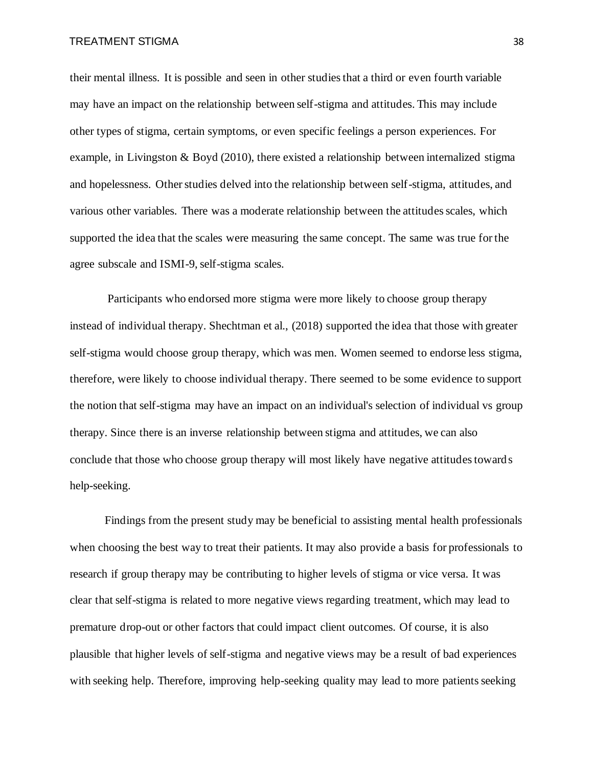their mental illness. It is possible and seen in other studies that a third or even fourth variable may have an impact on the relationship between self-stigma and attitudes. This may include other types of stigma, certain symptoms, or even specific feelings a person experiences. For example, in Livingston & Boyd (2010), there existed a relationship between internalized stigma and hopelessness. Other studies delved into the relationship between self-stigma, attitudes, and various other variables. There was a moderate relationship between the attitudes scales, which supported the idea that the scales were measuring the same concept. The same was true for the agree subscale and ISMI-9, self-stigma scales.

Participants who endorsed more stigma were more likely to choose group therapy instead of individual therapy. Shechtman et al., (2018) supported the idea that those with greater self-stigma would choose group therapy, which was men. Women seemed to endorse less stigma, therefore, were likely to choose individual therapy. There seemed to be some evidence to support the notion that self-stigma may have an impact on an individual's selection of individual vs group therapy. Since there is an inverse relationship between stigma and attitudes, we can also conclude that those who choose group therapy will most likely have negative attitudes toward s help-seeking.

Findings from the present study may be beneficial to assisting mental health professionals when choosing the best way to treat their patients. It may also provide a basis for professionals to research if group therapy may be contributing to higher levels of stigma or vice versa. It was clear that self-stigma is related to more negative views regarding treatment, which may lead to premature drop-out or other factors that could impact client outcomes. Of course, it is also plausible that higher levels of self-stigma and negative views may be a result of bad experiences with seeking help. Therefore, improving help-seeking quality may lead to more patients seeking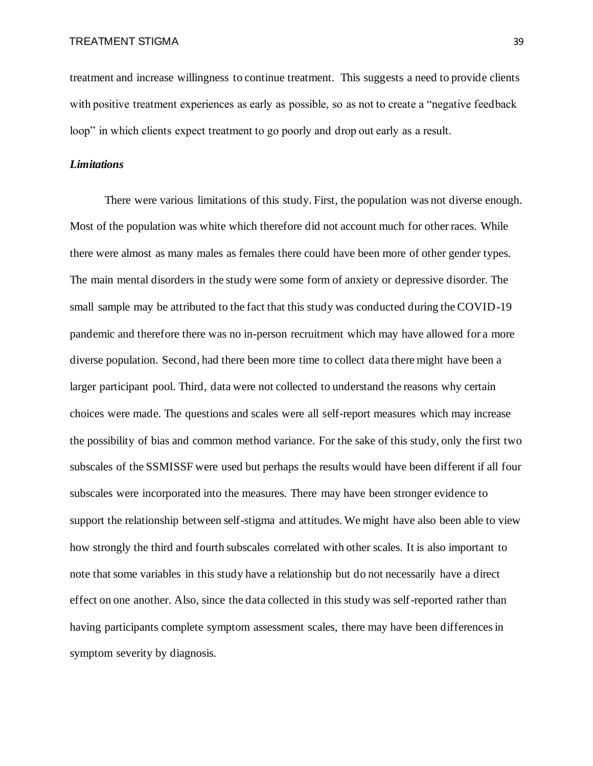treatment and increase willingness to continue treatment. This suggests a need to provide clients with positive treatment experiences as early as possible, so as not to create a "negative feedback" loop" in which clients expect treatment to go poorly and drop out early as a result.

#### *Limitations*

There were various limitations of this study. First, the population was not diverse enough. Most of the population was white which therefore did not account much for other races. While there were almost as many males as females there could have been more of other gender types. The main mental disorders in the study were some form of anxiety or depressive disorder. The small sample may be attributed to the fact that this study was conducted during the COVID-19 pandemic and therefore there was no in-person recruitment which may have allowed for a more diverse population. Second, had there been more time to collect data there might have been a larger participant pool. Third, data were not collected to understand the reasons why certain choices were made. The questions and scales were all self-report measures which may increase the possibility of bias and common method variance. For the sake of this study, only the first two subscales of the SSMISSF were used but perhaps the results would have been different if all four subscales were incorporated into the measures. There may have been stronger evidence to support the relationship between self-stigma and attitudes. We might have also been able to view how strongly the third and fourth subscales correlated with other scales. It is also important to note that some variables in this study have a relationship but do not necessarily have a direct effect on one another. Also, since the data collected in this study was self-reported rather than having participants complete symptom assessment scales, there may have been differences in symptom severity by diagnosis.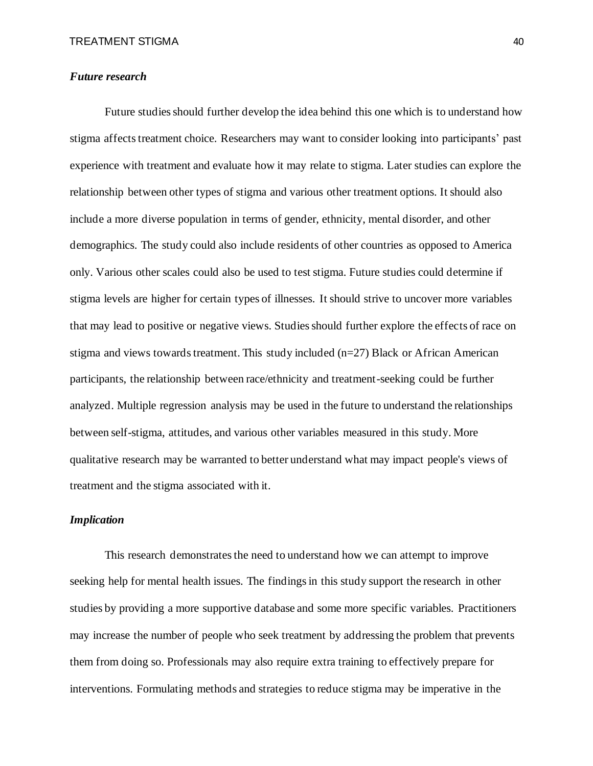#### *Future research*

Future studies should further develop the idea behind this one which is to understand how stigma affects treatment choice. Researchers may want to consider looking into participants' past experience with treatment and evaluate how it may relate to stigma. Later studies can explore the relationship between other types of stigma and various other treatment options. It should also include a more diverse population in terms of gender, ethnicity, mental disorder, and other demographics. The study could also include residents of other countries as opposed to America only. Various other scales could also be used to test stigma. Future studies could determine if stigma levels are higher for certain types of illnesses. It should strive to uncover more variables that may lead to positive or negative views. Studies should further explore the effects of race on stigma and views towards treatment. This study included  $(n=27)$  Black or African American participants, the relationship between race/ethnicity and treatment-seeking could be further analyzed. Multiple regression analysis may be used in the future to understand the relationships between self-stigma, attitudes, and various other variables measured in this study. More qualitative research may be warranted to better understand what may impact people's views of treatment and the stigma associated with it.

#### *Implication*

This research demonstrates the need to understand how we can attempt to improve seeking help for mental health issues. The findings in this study support the research in other studies by providing a more supportive database and some more specific variables. Practitioners may increase the number of people who seek treatment by addressing the problem that prevents them from doing so. Professionals may also require extra training to effectively prepare for interventions. Formulating methods and strategies to reduce stigma may be imperative in the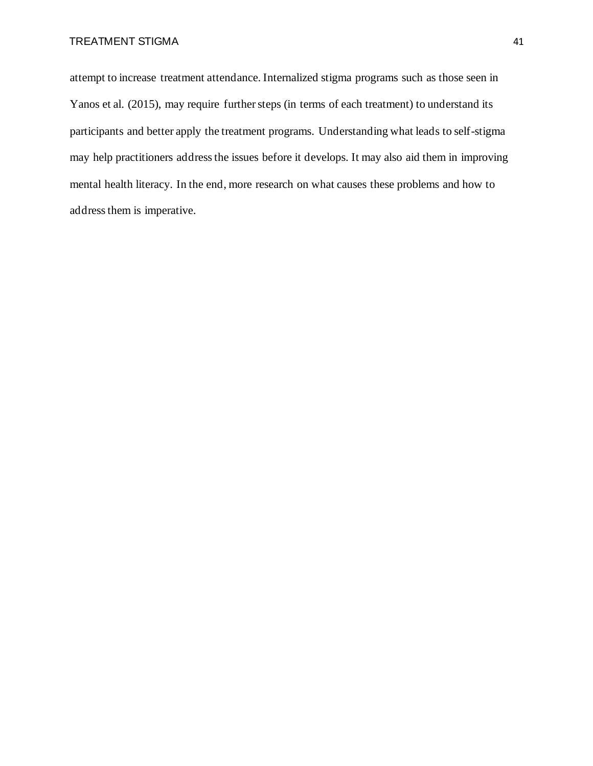attempt to increase treatment attendance. Internalized stigma programs such as those seen in Yanos et al. (2015), may require further steps (in terms of each treatment) to understand its participants and better apply the treatment programs. Understanding what leads to self-stigma may help practitioners address the issues before it develops. It may also aid them in improving mental health literacy. In the end, more research on what causes these problems and how to address them is imperative.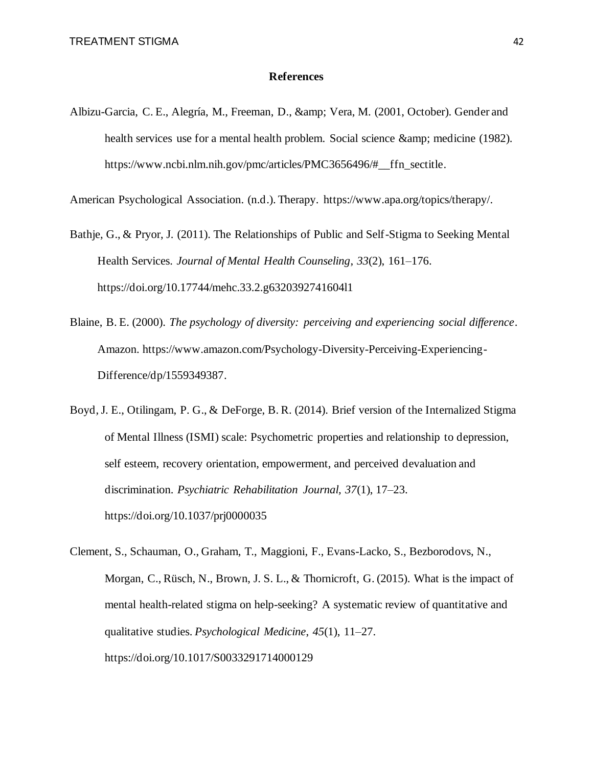#### **References**

Albizu-Garcia, C. E., Alegría, M., Freeman, D., & amp; Vera, M. (2001, October). Gender and health services use for a mental health problem. Social science & amp; medicine (1982). https://www.ncbi.nlm.nih.gov/pmc/articles/PMC3656496/#\_\_ffn\_sectitle.

American Psychological Association. (n.d.). Therapy. https://www.apa.org/topics/therapy/.

- Bathje, G., & Pryor, J. (2011). The Relationships of Public and Self-Stigma to Seeking Mental Health Services. *Journal of Mental Health Counseling*, *33*(2), 161–176. https://doi.org/10.17744/mehc.33.2.g6320392741604l1
- Blaine, B. E. (2000). *The psychology of diversity: perceiving and experiencing social difference*. Amazon. https://www.amazon.com/Psychology-Diversity-Perceiving-Experiencing-Difference/dp/1559349387.
- Boyd, J. E., Otilingam, P. G., & DeForge, B. R. (2014). Brief version of the Internalized Stigma of Mental Illness (ISMI) scale: Psychometric properties and relationship to depression, self esteem, recovery orientation, empowerment, and perceived devaluation and discrimination. *Psychiatric Rehabilitation Journal, 37*(1), 17–23. https://doi.org/10.1037/prj0000035
- Clement, S., Schauman, O., Graham, T., Maggioni, F., Evans-Lacko, S., Bezborodovs, N., Morgan, C., Rüsch, N., Brown, J. S. L., & Thornicroft, G. (2015). What is the impact of mental health-related stigma on help-seeking? A systematic review of quantitative and qualitative studies. *Psychological Medicine*, *45*(1), 11–27. https://doi.org/10.1017/S0033291714000129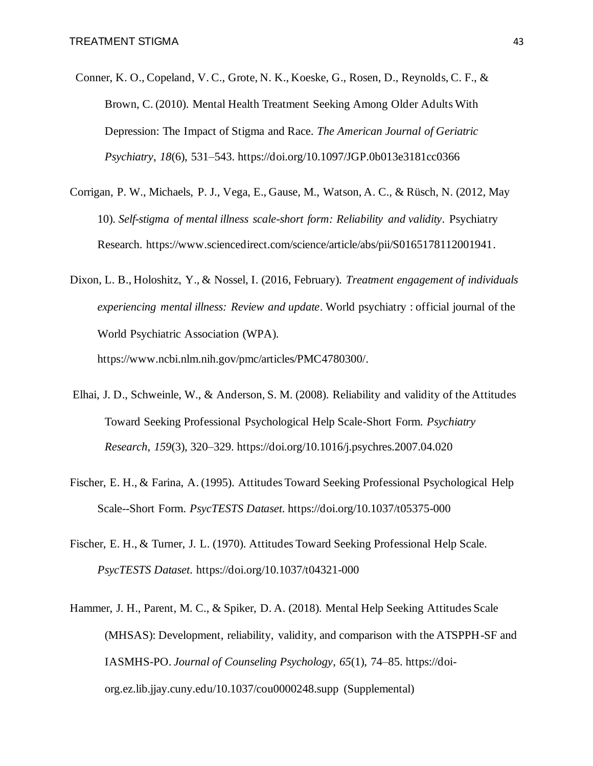- Conner, K. O., Copeland, V. C., Grote, N. K., Koeske, G., Rosen, D., Reynolds, C. F., & Brown, C. (2010). Mental Health Treatment Seeking Among Older Adults With Depression: The Impact of Stigma and Race. *The American Journal of Geriatric Psychiatry*, *18*(6), 531–543. https://doi.org/10.1097/JGP.0b013e3181cc0366
- Corrigan, P. W., Michaels, P. J., Vega, E., Gause, M., Watson, A. C., & Rüsch, N. (2012, May 10). *Self-stigma of mental illness scale-short form: Reliability and validity*. Psychiatry Research. https://www.sciencedirect.com/science/article/abs/pii/S0165178112001941.
- Dixon, L. B., Holoshitz, Y., & Nossel, I. (2016, February). *Treatment engagement of individuals experiencing mental illness: Review and update*. World psychiatry : official journal of the World Psychiatric Association (WPA). https://www.ncbi.nlm.nih.gov/pmc/articles/PMC4780300/.
- Elhai, J. D., Schweinle, W., & Anderson, S. M. (2008). Reliability and validity of the Attitudes Toward Seeking Professional Psychological Help Scale-Short Form. *Psychiatry Research*, *159*(3), 320–329. https://doi.org/10.1016/j.psychres.2007.04.020
- Fischer, E. H., & Farina, A. (1995). Attitudes Toward Seeking Professional Psychological Help Scale--Short Form. *PsycTESTS Dataset*. https://doi.org/10.1037/t05375-000
- Fischer, E. H., & Turner, J. L. (1970). Attitudes Toward Seeking Professional Help Scale. *PsycTESTS Dataset*. https://doi.org/10.1037/t04321-000
- Hammer, J. H., Parent, M. C., & Spiker, D. A. (2018). Mental Help Seeking Attitudes Scale (MHSAS): Development, reliability, validity, and comparison with the ATSPPH-SF and IASMHS-PO. *Journal of Counseling Psychology*, *65*(1), 74–85. https://doiorg.ez.lib.jjay.cuny.edu/10.1037/cou0000248.supp (Supplemental)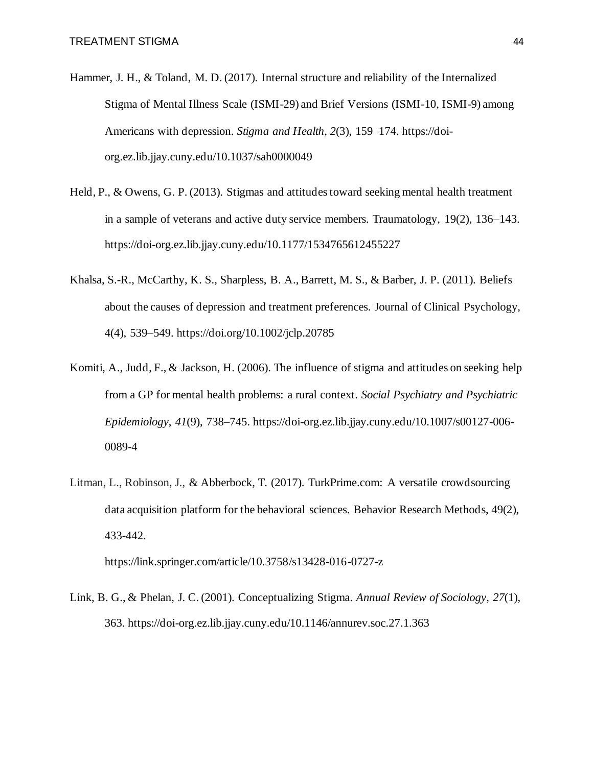- Hammer, J. H., & Toland, M. D. (2017). Internal structure and reliability of the Internalized Stigma of Mental Illness Scale (ISMI-29) and Brief Versions (ISMI-10, ISMI-9) among Americans with depression. *Stigma and Health*, *2*(3), 159–174. https://doiorg.ez.lib.jjay.cuny.edu/10.1037/sah0000049
- Held, P., & Owens, G. P. (2013). Stigmas and attitudes toward seeking mental health treatment in a sample of veterans and active duty service members. Traumatology, 19(2), 136–143. https://doi-org.ez.lib.jjay.cuny.edu/10.1177/1534765612455227
- Khalsa, S.-R., McCarthy, K. S., Sharpless, B. A., Barrett, M. S., & Barber, J. P. (2011). Beliefs about the causes of depression and treatment preferences. Journal of Clinical Psychology, 4(4), 539–549. https://doi.org/10.1002/jclp.20785
- Komiti, A., Judd, F., & Jackson, H. (2006). The influence of stigma and attitudes on seeking help from a GP for mental health problems: a rural context. *Social Psychiatry and Psychiatric Epidemiology*, *41*(9), 738–745. https://doi-org.ez.lib.jjay.cuny.edu/10.1007/s00127-006- 0089-4
- Litman, L., Robinson, J., & Abberbock, T. (2017). TurkPrime.com: A versatile crowdsourcing data acquisition platform for the behavioral sciences. Behavior Research Methods, 49(2), 433-442.

https://link.springer.com/article/10.3758/s13428-016-0727-z

Link, B. G., & Phelan, J. C. (2001). Conceptualizing Stigma. *Annual Review of Sociology*, *27*(1), 363. https://doi-org.ez.lib.jjay.cuny.edu/10.1146/annurev.soc.27.1.363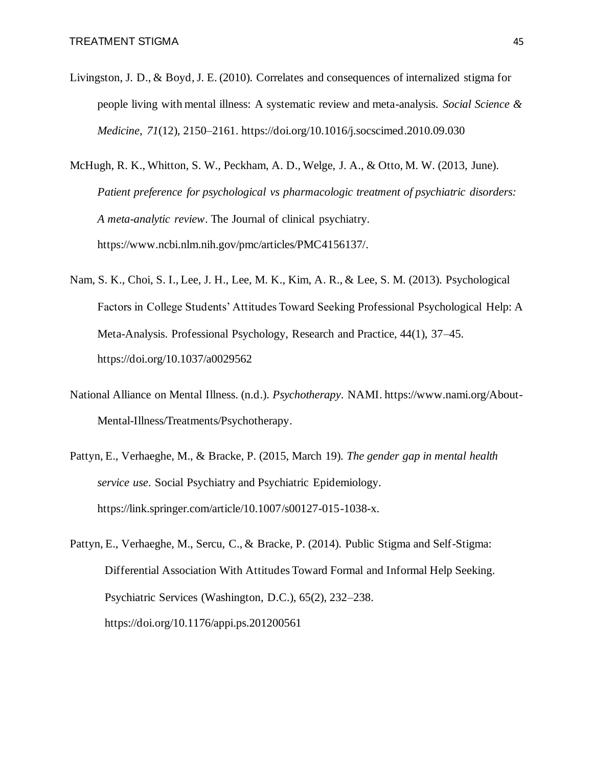- Livingston, J. D., & Boyd, J. E. (2010). Correlates and consequences of internalized stigma for people living with mental illness: A systematic review and meta-analysis. *Social Science & Medicine*, *71*(12), 2150–2161. https://doi.org/10.1016/j.socscimed.2010.09.030
- McHugh, R. K., Whitton, S. W., Peckham, A. D., Welge, J. A., & Otto, M. W. (2013, June). *Patient preference for psychological vs pharmacologic treatment of psychiatric disorders: A meta-analytic review*. The Journal of clinical psychiatry. https://www.ncbi.nlm.nih.gov/pmc/articles/PMC4156137/.
- Nam, S. K., Choi, S. I., Lee, J. H., Lee, M. K., Kim, A. R., & Lee, S. M. (2013). Psychological Factors in College Students' Attitudes Toward Seeking Professional Psychological Help: A Meta-Analysis. Professional Psychology, Research and Practice, 44(1), 37–45. https://doi.org/10.1037/a0029562
- National Alliance on Mental Illness. (n.d.). *Psychotherapy*. NAMI. https://www.nami.org/About-Mental-Illness/Treatments/Psychotherapy.
- Pattyn, E., Verhaeghe, M., & Bracke, P. (2015, March 19). *The gender gap in mental health service use*. Social Psychiatry and Psychiatric Epidemiology. https://link.springer.com/article/10.1007/s00127-015-1038-x.
- Pattyn, E., Verhaeghe, M., Sercu, C., & Bracke, P. (2014). Public Stigma and Self-Stigma: Differential Association With Attitudes Toward Formal and Informal Help Seeking. Psychiatric Services (Washington, D.C.), 65(2), 232–238. https://doi.org/10.1176/appi.ps.201200561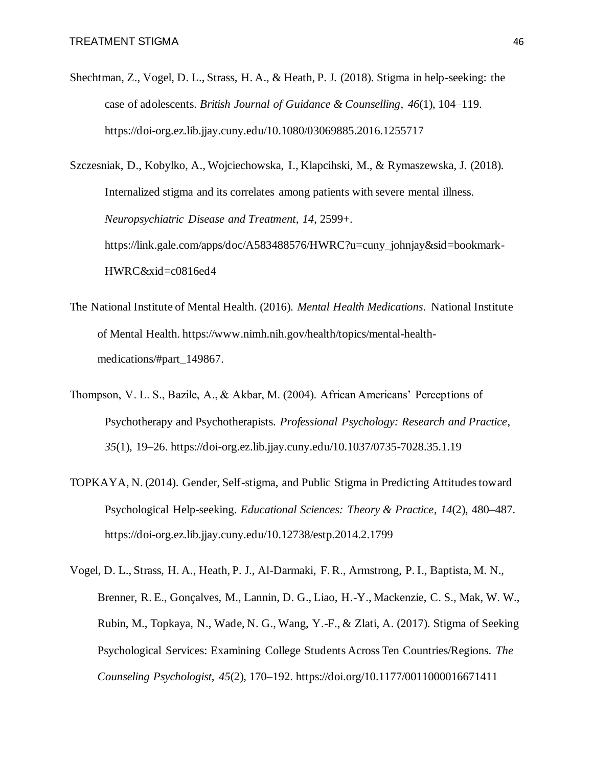Shechtman, Z., Vogel, D. L., Strass, H. A., & Heath, P. J. (2018). Stigma in help-seeking: the case of adolescents. *British Journal of Guidance & Counselling*, *46*(1), 104–119. https://doi-org.ez.lib.jjay.cuny.edu/10.1080/03069885.2016.1255717

Szczesniak, D., Kobylko, A., Wojciechowska, I., Klapcihski, M., & Rymaszewska, J. (2018). Internalized stigma and its correlates among patients with severe mental illness. *Neuropsychiatric Disease and Treatment*, *14*, 2599+. https://link.gale.com/apps/doc/A583488576/HWRC?u=cuny\_johnjay&sid=bookmark-HWRC&xid=c0816ed4

- The National Institute of Mental Health. (2016). *Mental Health Medications*. National Institute of Mental Health. https://www.nimh.nih.gov/health/topics/mental-healthmedications/#part\_149867.
- Thompson, V. L. S., Bazile, A., & Akbar, M. (2004). African Americans' Perceptions of Psychotherapy and Psychotherapists. *Professional Psychology: Research and Practice*, *35*(1), 19–26. https://doi-org.ez.lib.jjay.cuny.edu/10.1037/0735-7028.35.1.19
- TOPKAYA, N. (2014). Gender, Self-stigma, and Public Stigma in Predicting Attitudes toward Psychological Help-seeking. *Educational Sciences: Theory & Practice*, *14*(2), 480–487. https://doi-org.ez.lib.jjay.cuny.edu/10.12738/estp.2014.2.1799
- Vogel, D. L., Strass, H. A., Heath, P. J., Al-Darmaki, F. R., Armstrong, P. I., Baptista, M. N., Brenner, R. E., Gonçalves, M., Lannin, D. G., Liao, H.-Y., Mackenzie, C. S., Mak, W. W., Rubin, M., Topkaya, N., Wade, N. G., Wang, Y.-F., & Zlati, A. (2017). Stigma of Seeking Psychological Services: Examining College Students Across Ten Countries/Regions. *The Counseling Psychologist*, *45*(2), 170–192. https://doi.org/10.1177/0011000016671411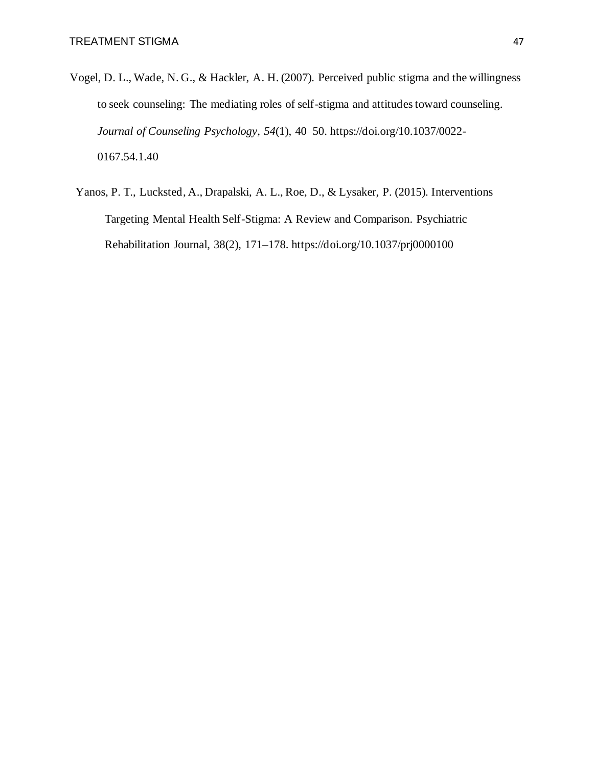- Vogel, D. L., Wade, N. G., & Hackler, A. H. (2007). Perceived public stigma and the willingness to seek counseling: The mediating roles of self-stigma and attitudes toward counseling. *Journal of Counseling Psychology*, *54*(1), 40–50. https://doi.org/10.1037/0022- 0167.54.1.40
	- Yanos, P. T., Lucksted, A., Drapalski, A. L., Roe, D., & Lysaker, P. (2015). Interventions Targeting Mental Health Self-Stigma: A Review and Comparison. Psychiatric Rehabilitation Journal, 38(2), 171–178. https://doi.org/10.1037/prj0000100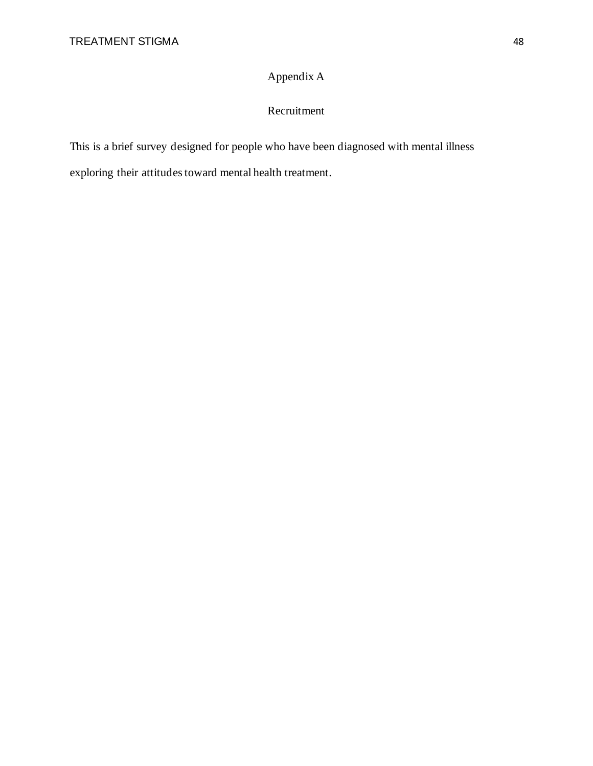## Appendix A

## Recruitment

This is a brief survey designed for people who have been diagnosed with mental illness exploring their attitudes toward mental health treatment.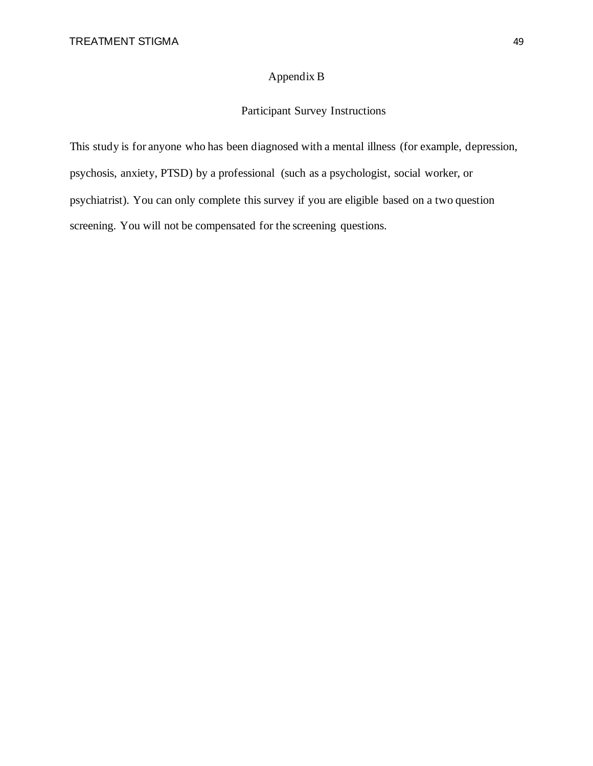## Appendix B

## Participant Survey Instructions

This study is for anyone who has been diagnosed with a mental illness (for example, depression, psychosis, anxiety, PTSD) by a professional (such as a psychologist, social worker, or psychiatrist). You can only complete this survey if you are eligible based on a two question screening. You will not be compensated for the screening questions.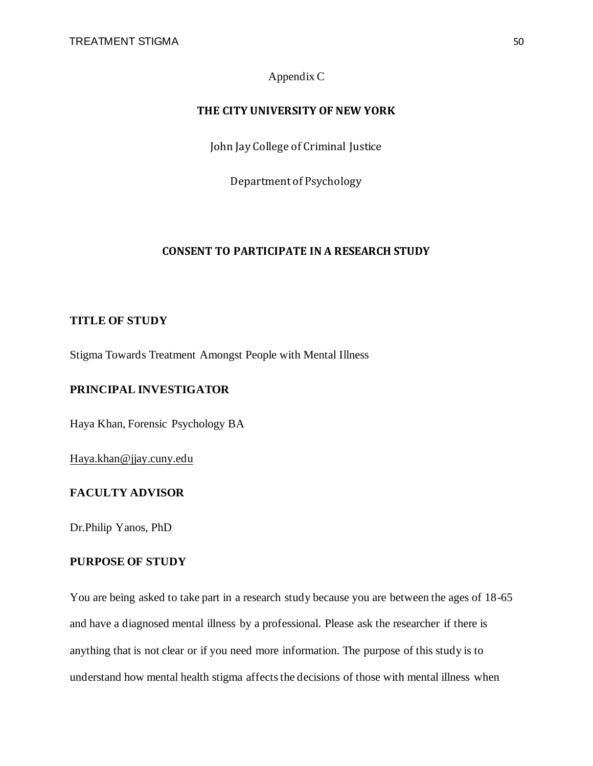### Appendix C

#### **THE CITY UNIVERSITY OF NEW YORK**

John Jay College of Criminal Justice

Department of Psychology

#### **CONSENT TO PARTICIPATE IN A RESEARCH STUDY**

#### **TITLE OF STUDY**

Stigma Towards Treatment Amongst People with Mental Illness

#### **PRINCIPAL INVESTIGATOR**

Haya Khan, Forensic Psychology BA

Haya.khan@jjay.cuny.edu

#### **FACULTY ADVISOR**

Dr.Philip Yanos, PhD

#### **PURPOSE OF STUDY**

You are being asked to take part in a research study because you are between the ages of 18-65 and have a diagnosed mental illness by a professional. Please ask the researcher if there is anything that is not clear or if you need more information. The purpose of this study is to understand how mental health stigma affects the decisions of those with mental illness when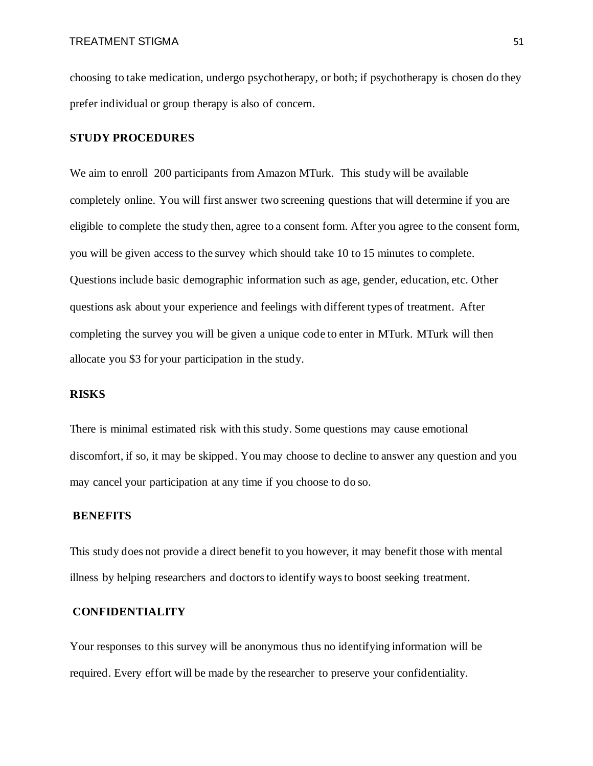choosing to take medication, undergo psychotherapy, or both; if psychotherapy is chosen do they prefer individual or group therapy is also of concern.

#### **STUDY PROCEDURES**

We aim to enroll 200 participants from Amazon MTurk. This study will be available completely online. You will first answer two screening questions that will determine if you are eligible to complete the study then, agree to a consent form. After you agree to the consent form, you will be given access to the survey which should take 10 to 15 minutes to complete. Questions include basic demographic information such as age, gender, education, etc. Other questions ask about your experience and feelings with different types of treatment. After completing the survey you will be given a unique code to enter in MTurk. MTurk will then allocate you \$3 for your participation in the study.

#### **RISKS**

There is minimal estimated risk with this study*.* Some questions may cause emotional discomfort, if so, it may be skipped. You may choose to decline to answer any question and you may cancel your participation at any time if you choose to do so.

#### **BENEFITS**

This study does not provide a direct benefit to you however, it may benefit those with mental illness by helping researchers and doctors to identify ways to boost seeking treatment.

#### **CONFIDENTIALITY**

Your responses to this survey will be anonymous thus no identifying information will be required. Every effort will be made by the researcher to preserve your confidentiality.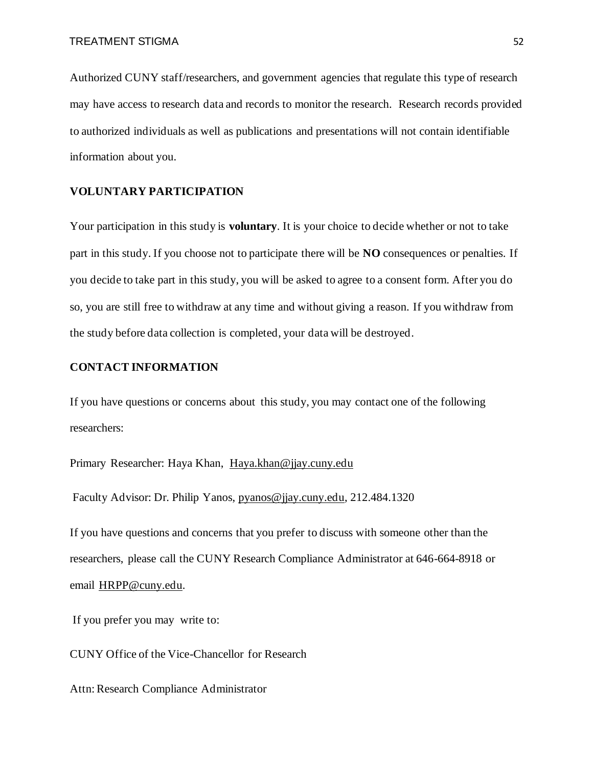Authorized CUNY staff/researchers, and government agencies that regulate this type of research may have access to research data and records to monitor the research. Research records provided to authorized individuals as well as publications and presentations will not contain identifiable information about you.

#### **VOLUNTARY PARTICIPATION**

Your participation in this study is **voluntary**. It is your choice to decide whether or not to take part in this study. If you choose not to participate there will be **NO** consequences or penalties. If you decide to take part in this study, you will be asked to agree to a consent form. After you do so, you are still free to withdraw at any time and without giving a reason. If you withdraw from the study before data collection is completed, your data will be destroyed.

#### **CONTACT INFORMATION**

If you have questions or concerns about this study, you may contact one of the following researchers:

Primary Researcher: Haya Khan, Haya.khan@jjay.cuny.edu

Faculty Advisor: Dr. Philip Yanos, pyanos@jjay.cuny.edu, 212.484.1320

If you have questions and concerns that you prefer to discuss with someone other than the researchers, please call the CUNY Research Compliance Administrator at 646-664-8918 or email HRPP@cuny.edu.

If you prefer you may write to:

CUNY Office of the Vice-Chancellor for Research

Attn: Research Compliance Administrator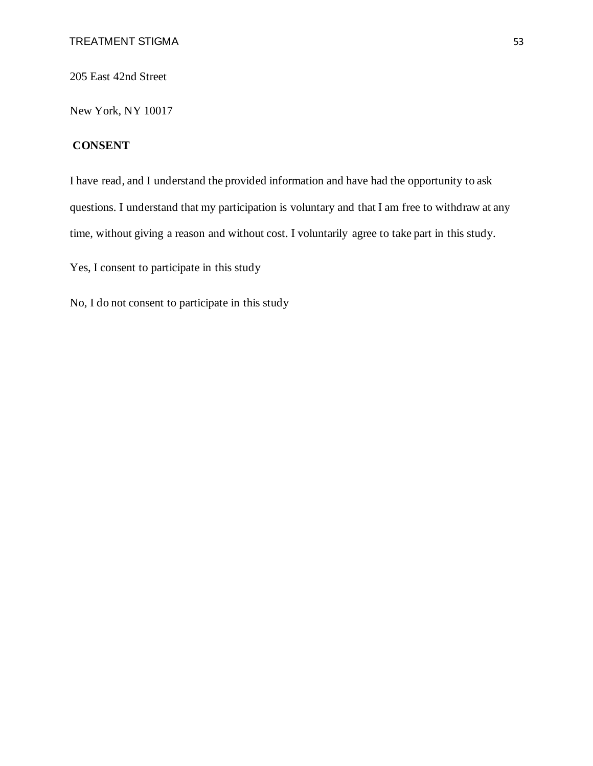205 East 42nd Street

New York, NY 10017

## **CONSENT**

I have read, and I understand the provided information and have had the opportunity to ask questions. I understand that my participation is voluntary and that I am free to withdraw at any time, without giving a reason and without cost. I voluntarily agree to take part in this study.

Yes, I consent to participate in this study

No, I do not consent to participate in this study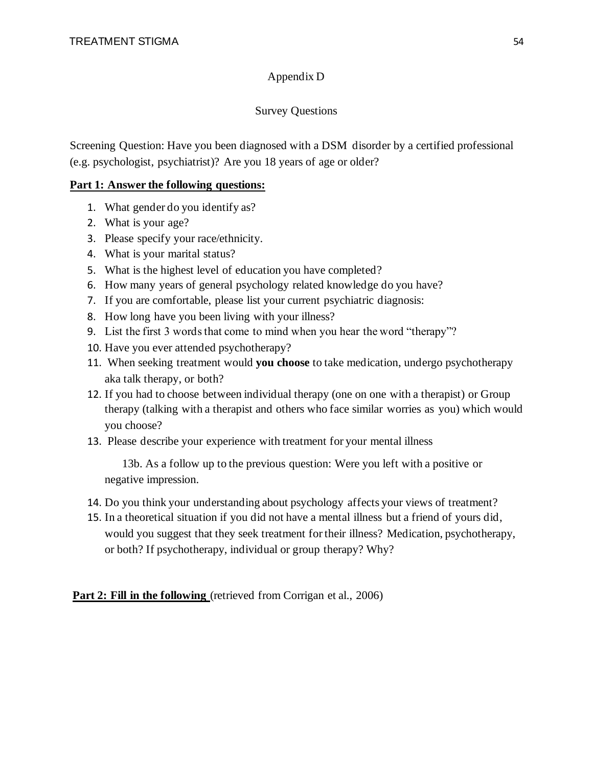## Appendix D

## Survey Questions

Screening Question: Have you been diagnosed with a DSM disorder by a certified professional (e.g. psychologist, psychiatrist)? Are you 18 years of age or older?

## **Part 1: Answer the following questions:**

- 1. What gender do you identify as?
- 2. What is your age?
- 3. Please specify your race/ethnicity.
- 4. What is your marital status?
- 5. What is the highest level of education you have completed?
- 6. How many years of general psychology related knowledge do you have?
- 7. If you are comfortable, please list your current psychiatric diagnosis:
- 8. How long have you been living with your illness?
- 9. List the first 3 words that come to mind when you hear the word "therapy"?
- 10. Have you ever attended psychotherapy?
- 11. When seeking treatment would **you choose** to take medication, undergo psychotherapy aka talk therapy, or both?
- 12. If you had to choose between individual therapy (one on one with a therapist) or Group therapy (talking with a therapist and others who face similar worries as you) which would you choose?
- 13. Please describe your experience with treatment for your mental illness

 13b. As a follow up to the previous question: Were you left with a positive or negative impression.

- 14. Do you think your understanding about psychology affects your views of treatment?
- 15. In a theoretical situation if you did not have a mental illness but a friend of yours did, would you suggest that they seek treatment for their illness? Medication, psychotherapy, or both? If psychotherapy, individual or group therapy? Why?

Part 2: Fill in the following (retrieved from Corrigan et al., 2006)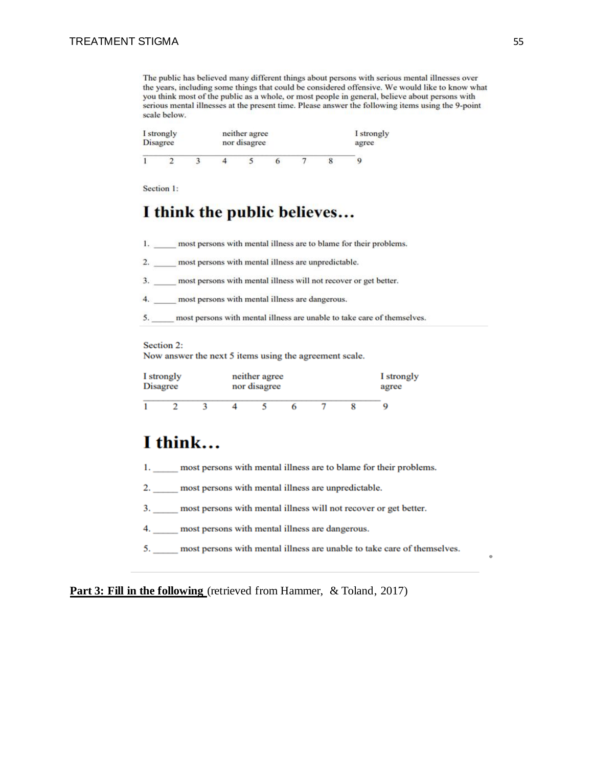The public has believed many different things about persons with serious mental illnesses over the years, including some things that could be considered offensive. We would like to know what you think most of the public as a whole, or most people in general, believe about persons with serious mental illnesses at the present time. Please answer the following items using the 9-point scale below.

| I strongly<br><b>Disagree</b> |  |  | neither agree<br>nor disagree |  | I strongly<br>agree |
|-------------------------------|--|--|-------------------------------|--|---------------------|
|                               |  |  |                               |  |                     |

Section 1:

## I think the public believes...

1. most persons with mental illness are to blame for their problems.

2. most persons with mental illness are unpredictable.

3. most persons with mental illness will not recover or get better.

4. \_\_\_\_\_ most persons with mental illness are dangerous.

5. most persons with mental illness are unable to take care of themselves.

#### Section 2:

Now answer the next 5 items using the agreement scale.

| I strongly<br><b>Disagree</b> |  |  | neither agree<br>nor disagree | I strongly<br>agree |  |  |
|-------------------------------|--|--|-------------------------------|---------------------|--|--|
|                               |  |  |                               |                     |  |  |

## I think...

- 1. most persons with mental illness are to blame for their problems.
- 2. most persons with mental illness are unpredictable.
- 3. \_\_\_\_\_ most persons with mental illness will not recover or get better.
- 4. \_\_\_\_ most persons with mental illness are dangerous.
- 5. \_\_\_\_\_ most persons with mental illness are unable to take care of themselves.

**Part 3: Fill in the following** (retrieved from Hammer, & Toland, 2017)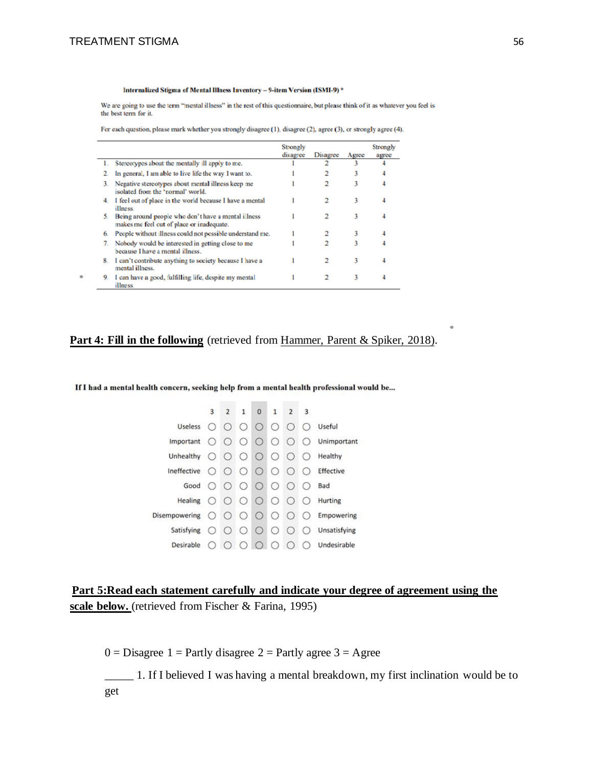٠

#### Internalized Stigma of Mental Illness Inventory - 9-item Version (ISMI-9)\*

We are going to use the term "mental illness" in the rest of this questionnaire, but please think of it as whatever you feel is the best term for it.

For each question, please mark whether you strongly disagree (1), disagree (2), agree (3), or strongly agree (4).

|    |                                                                                                  | Strongly<br>disagree | Disagree | Agree | Strongly<br>agree |
|----|--------------------------------------------------------------------------------------------------|----------------------|----------|-------|-------------------|
|    | Stereotypes about the mentally ill apply to me.                                                  |                      |          |       |                   |
|    | In general, I am able to live life the way I want to.                                            |                      |          |       |                   |
| 3. | Negative stereotypes about mental illness keep me<br>isolated from the "rormal" world.           |                      | 2        | 3     |                   |
| 4. | I feel out of place in the world because I have a mental<br>illness.                             |                      |          |       |                   |
| 5. | Being around people who don't have a mental illness<br>makes me feel out of place or inadequate. |                      |          | 3     |                   |
| 6. | People without illness could not possible understand me.                                         |                      |          | 3     |                   |
| 7. | Nobody would be interested in getting close to me<br>because I have a mental illness.            |                      | 2        | ٦     |                   |
| 8. | I can't contribute anything to society because I have a<br>mental illness.                       |                      |          |       |                   |
| 9. | I can have a good, fulfilling life, despite my mental<br>illness.                                |                      |          | 3     |                   |

## Part 4: Fill in the following (retrieved from Hammer, Parent & Spiker, 2018).

If I had a mental health concern, seeking help from a mental health professional would be...

| 3                      |            |                                                 | $\mathbf{O}$           | $\mathbf{1}$ | $\mathbf{2}$                                                                                                              | $\overline{\mathbf{3}}$                                                              |                                                                             |
|------------------------|------------|-------------------------------------------------|------------------------|--------------|---------------------------------------------------------------------------------------------------------------------------|--------------------------------------------------------------------------------------|-----------------------------------------------------------------------------|
|                        |            |                                                 |                        |              |                                                                                                                           | $\left( \right)$                                                                     | Useful                                                                      |
|                        |            |                                                 |                        |              |                                                                                                                           |                                                                                      | $\bigcirc$ Unimportant                                                      |
| Unhealthy $\bigcap$    |            |                                                 |                        |              | $\circ$                                                                                                                   | $^{(+)}$                                                                             | Healthy                                                                     |
| Ineffective $\bigcirc$ | $\bigcirc$ |                                                 |                        |              | $\circ$                                                                                                                   | $^{(+)}$                                                                             | Effective                                                                   |
| $\circ$                |            |                                                 |                        |              |                                                                                                                           | $^{(1)}$                                                                             | Bad                                                                         |
| Healing $\bigcirc$     |            |                                                 |                        |              | $\bigcirc$                                                                                                                | $\left( \right)$                                                                     | Hurting                                                                     |
|                        |            |                                                 |                        |              | $\bigcirc$                                                                                                                | $^{(+)}$                                                                             | Empowering                                                                  |
| Satisfying $\bigcirc$  | $\left($   |                                                 |                        |              | $\bigcirc$                                                                                                                | $\left( \right)$                                                                     | Unsatisfying                                                                |
|                        |            | $\left( \begin{array}{c} 1 \end{array} \right)$ | $\left( \quad \right)$ |              | $\left( \begin{array}{c} \end{array} \right)$                                                                             |                                                                                      | Undesirable                                                                 |
|                        |            | $\bigcirc$                                      |                        | $2 \quad 1$  | $\circ \circ \circ \circ$<br>000<br>$0000$<br>Disempowering $\bigcirc$ $\bigcirc$ $\bigcirc$ $\bigcirc$ $\bigcirc$<br>000 | Useless $\bigcirc$ $\bigcirc$ $\bigcirc$ $\bigcirc$ $\bigcirc$ $\bigcirc$<br>$00000$ | Important $\bigcirc$ $\bigcirc$ $\bigcirc$ $\bigcirc$ $\bigcirc$ $\bigcirc$ |

**Part 5:Read each statement carefully and indicate your degree of agreement using the scale below.** (retrieved from Fischer & Farina, 1995)

 $0 = Disagree 1 = Partly disagree 2 = Partly agree 3 = Agee$ 

\_\_\_\_\_ 1. If I believed I was having a mental breakdown, my first inclination would be to get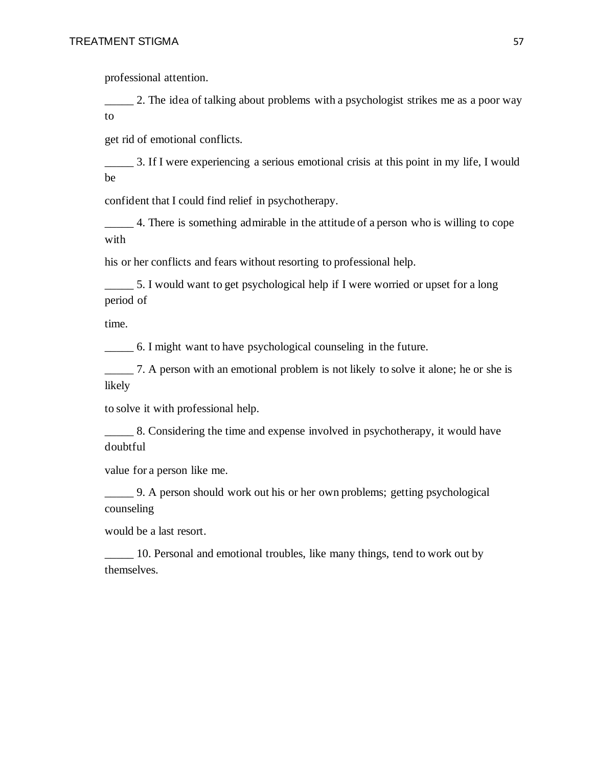professional attention.

2. The idea of talking about problems with a psychologist strikes me as a poor way to

get rid of emotional conflicts.

\_\_\_\_\_ 3. If I were experiencing a serious emotional crisis at this point in my life, I would be

confident that I could find relief in psychotherapy.

\_\_\_\_\_ 4. There is something admirable in the attitude of a person who is willing to cope with

his or her conflicts and fears without resorting to professional help.

\_\_\_\_\_ 5. I would want to get psychological help if I were worried or upset for a long period of

time.

\_\_\_\_\_ 6. I might want to have psychological counseling in the future.

\_\_\_\_\_ 7. A person with an emotional problem is not likely to solve it alone; he or she is likely

to solve it with professional help.

\_\_\_\_\_ 8. Considering the time and expense involved in psychotherapy, it would have doubtful

value for a person like me.

\_\_\_\_\_ 9. A person should work out his or her own problems; getting psychological counseling

would be a last resort.

\_\_\_\_\_ 10. Personal and emotional troubles, like many things, tend to work out by themselves.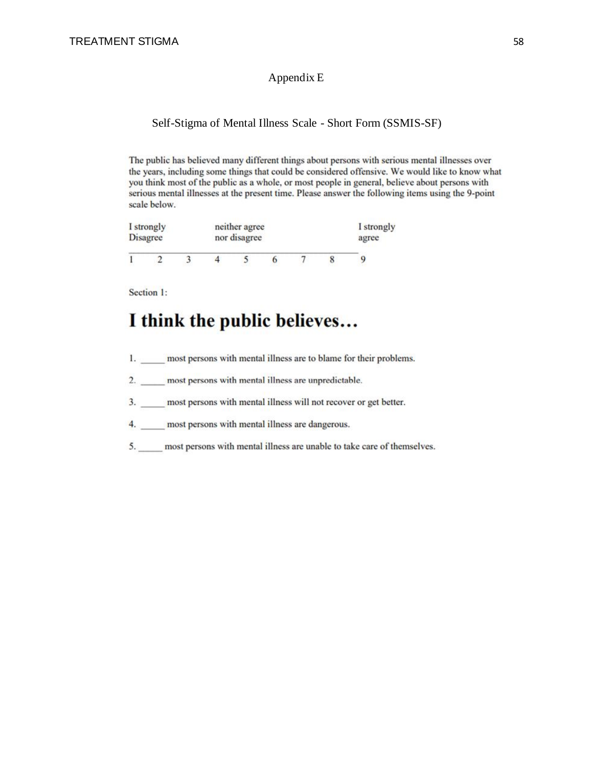#### Appendix E

#### Self-Stigma of Mental Illness Scale - Short Form (SSMIS-SF)

The public has believed many different things about persons with serious mental illnesses over the years, including some things that could be considered offensive. We would like to know what you think most of the public as a whole, or most people in general, believe about persons with serious mental illnesses at the present time. Please answer the following items using the 9-point scale below.

| I strongly |                                 |  |  | neither agree |  |  |       |  |  |  |  |
|------------|---------------------------------|--|--|---------------|--|--|-------|--|--|--|--|
|            | <b>Disagree</b><br>nor disagree |  |  |               |  |  | agree |  |  |  |  |
|            |                                 |  |  |               |  |  |       |  |  |  |  |

Section 1:

# I think the public believes...

- 1. most persons with mental illness are to blame for their problems.
- 2. most persons with mental illness are unpredictable.
- 3. most persons with mental illness will not recover or get better.
- 4. most persons with mental illness are dangerous.
- 5. most persons with mental illness are unable to take care of themselves.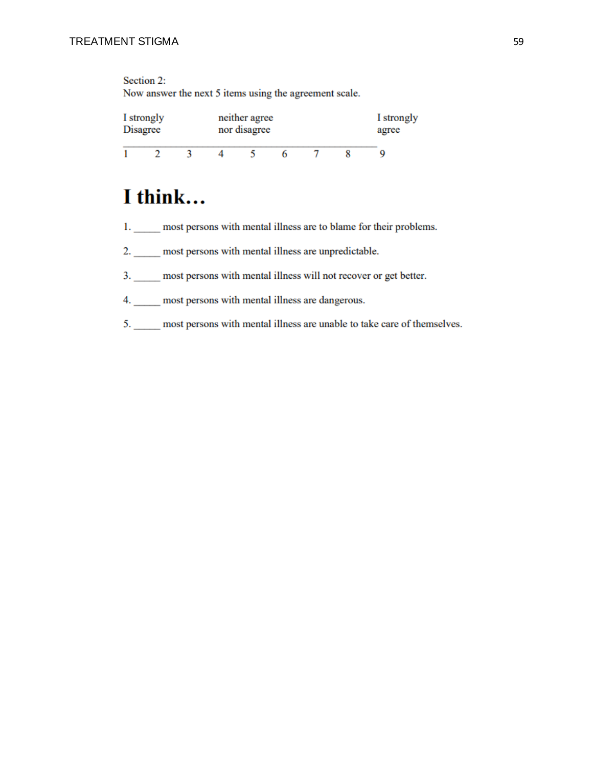Section 2:

Now answer the next 5 items using the agreement scale.

|                 | I strongly |  | neither agree | I strongly |  |  |  |  |
|-----------------|------------|--|---------------|------------|--|--|--|--|
| <b>Disagree</b> |            |  | nor disagree  |            |  |  |  |  |
|                 |            |  |               |            |  |  |  |  |

# I think...

- 1. \_\_\_\_\_ most persons with mental illness are to blame for their problems.
- 2. most persons with mental illness are unpredictable.
- 3. \_\_\_\_\_ most persons with mental illness will not recover or get better.
- 4. most persons with mental illness are dangerous.
- 5. \_\_\_\_\_ most persons with mental illness are unable to take care of themselves.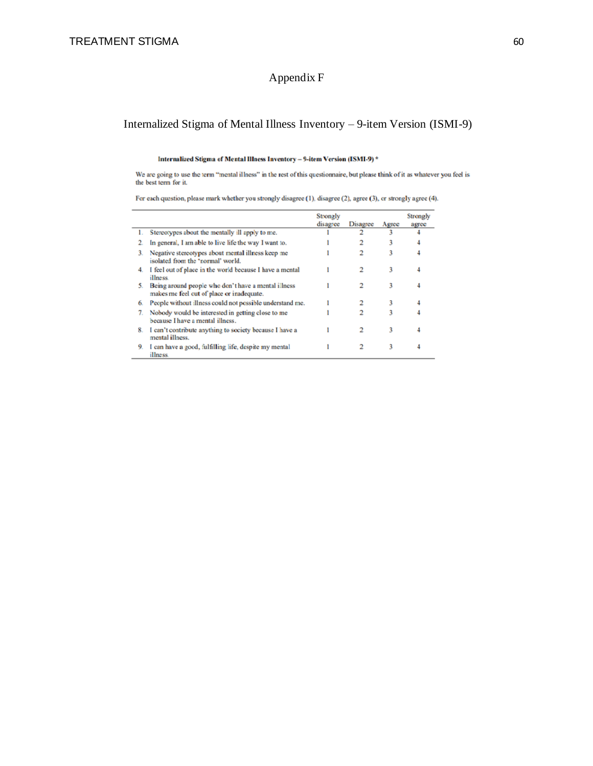## Appendix F

## Internalized Stigma of Mental Illness Inventory – 9-item Version (ISMI-9)

#### Internalized Stigma of Mental Illness Inventory - 9-item Version (ISMI-9) \*

We are going to use the term "mental illness" in the rest of this questionnaire, but please think of it as whatever you feel is the best term for it.

For each question, please mark whether you strongly disagree (1), disagree (2), agree (3), or strongly agree (4).

|    |                                                                                                  | Strongly<br>disagree | Disagree | Agree | Strongly<br>agree |
|----|--------------------------------------------------------------------------------------------------|----------------------|----------|-------|-------------------|
| ι. | Stereotypes about the mentally ill apply to me.                                                  |                      |          | 3     |                   |
| 2. | In general, I am able to live life the way I want to.                                            |                      |          | 3     |                   |
| 3. | Negative stereotypes about mental illness keep me<br>isolated from the "rormal" world.           |                      |          | 3     |                   |
| 4. | I feel out of place in the world because I have a mental<br>illness.                             |                      | 2        | 3     |                   |
| 5. | Being around people who don't have a mental illness<br>makes me feel out of place or inadequate. |                      |          | 3     |                   |
| 6. | People without illness could not possible understand me.                                         |                      |          | 3     |                   |
| 7. | Nobody would be interested in getting close to me<br>because I have a mental illness.            |                      |          | ٦     |                   |
| 8. | I can't contribute anything to society because I have a<br>mental illness.                       |                      |          | 3     |                   |
| 9. | I can have a good, fulfilling life, despite my mental<br>illness.                                |                      |          | 3     |                   |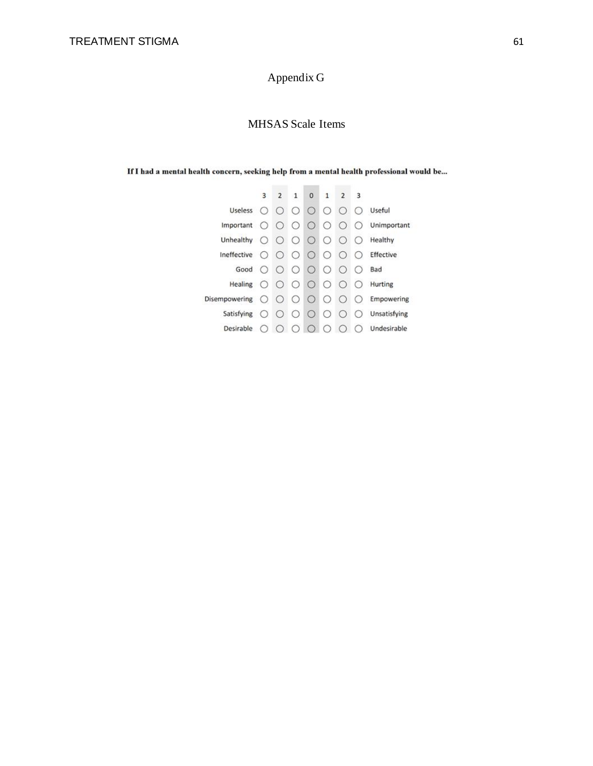# Appendix G

## MHSAS Scale Items

If I had a mental health concern, seeking help from a mental health professional would be...

|                               | 3                | $\mathbf{2}$ | $\mathbf{1}$ | $\mathbf{0}$                                  | $\mathbf{1}$     | $\overline{2}$   | - 3              |              |
|-------------------------------|------------------|--------------|--------------|-----------------------------------------------|------------------|------------------|------------------|--------------|
| Useless $\bigcirc$            |                  | $\bigcirc$   | $\bigcirc$   | $\bigcirc$                                    | $\circ$          | $\bigcirc$       | $^{(1)}$         | Useful       |
| Important $\bigcirc$          |                  |              |              | $\begin{array}{ccc} & O & O & O \end{array}$  |                  | $\bigcirc$       | $\left( \right)$ | Unimportant  |
| Unhealthy $\bigcirc$          |                  | $\left($     | $\bigcirc$   | $\bigcirc$                                    | $\left( \right)$ | $\left($         |                  | Healthy      |
| Ineffective $\bigcirc$        |                  | $\bigcirc$   |              | $\circ$ $\circ$                               | $\bigcirc$       | $\bigcirc$       | $\left( \right)$ | Effective    |
| Good                          | $\bigcirc$       | $\bigcirc$   |              | $\begin{array}{c} 0 & 0 \\ 0 & 0 \end{array}$ |                  | $\bigcirc$       | $\left( \right)$ | Bad          |
| Healing $\bigcirc$ $\bigcirc$ |                  |              |              | $O$ $O$ $O$                                   |                  | $\bigcirc$       | $\left( \right)$ | Hurting      |
| Disempowering $\bigcirc$      |                  | $\left($     | $\circ$      | $\left($                                      | $\left( \right)$ | $\left( \right)$ | €                | Empowering   |
| Satisfying                    | $\left( \right)$ | $\bigcirc$   | $\bigcirc$   | $\bigcirc$                                    | $\bigcirc$       | $\left( \right)$ |                  | Unsatisfying |
| Desirable                     |                  |              | C.           |                                               |                  |                  |                  | Undesirable  |